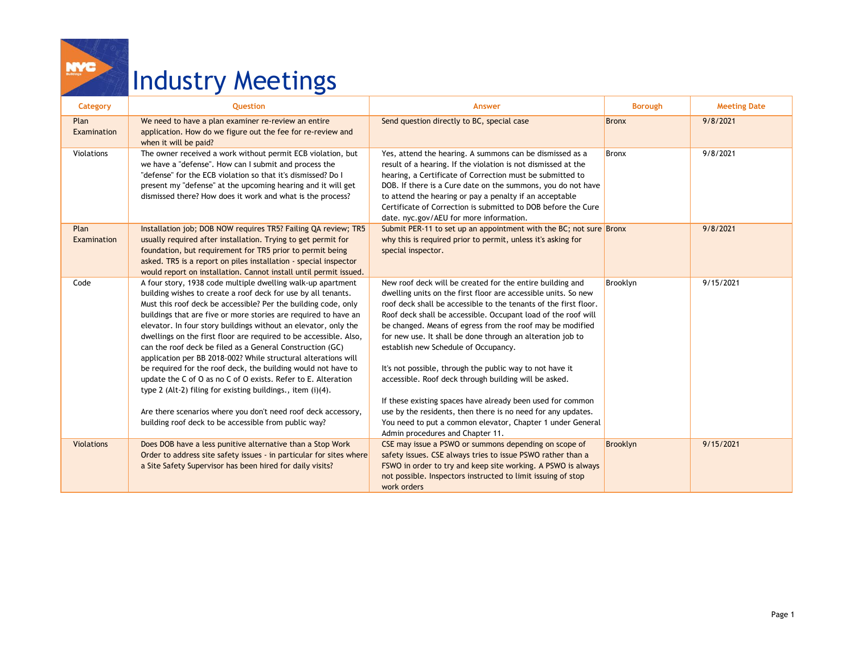## Industry Meetings

í

| Category            | Question                                                                                                                                                                                                                                                                                                                                                                                                                                                                                                                                                                                                                                                                                                                                                                                                                                                           | Answer                                                                                                                                                                                                                                                                                                                                                                                                                                                                                                                                                                                                                                                                                                                                                                                   | <b>Borough</b> | <b>Meeting Date</b> |
|---------------------|--------------------------------------------------------------------------------------------------------------------------------------------------------------------------------------------------------------------------------------------------------------------------------------------------------------------------------------------------------------------------------------------------------------------------------------------------------------------------------------------------------------------------------------------------------------------------------------------------------------------------------------------------------------------------------------------------------------------------------------------------------------------------------------------------------------------------------------------------------------------|------------------------------------------------------------------------------------------------------------------------------------------------------------------------------------------------------------------------------------------------------------------------------------------------------------------------------------------------------------------------------------------------------------------------------------------------------------------------------------------------------------------------------------------------------------------------------------------------------------------------------------------------------------------------------------------------------------------------------------------------------------------------------------------|----------------|---------------------|
| Plan<br>Examination | We need to have a plan examiner re-review an entire<br>application. How do we figure out the fee for re-review and<br>when it will be paid?                                                                                                                                                                                                                                                                                                                                                                                                                                                                                                                                                                                                                                                                                                                        | Send question directly to BC, special case                                                                                                                                                                                                                                                                                                                                                                                                                                                                                                                                                                                                                                                                                                                                               | <b>Bronx</b>   | 9/8/2021            |
| Violations          | The owner received a work without permit ECB violation, but<br>we have a "defense". How can I submit and process the<br>"defense" for the ECB violation so that it's dismissed? Do I<br>present my "defense" at the upcoming hearing and it will get<br>dismissed there? How does it work and what is the process?                                                                                                                                                                                                                                                                                                                                                                                                                                                                                                                                                 | Yes, attend the hearing. A summons can be dismissed as a<br>result of a hearing. If the violation is not dismissed at the<br>hearing, a Certificate of Correction must be submitted to<br>DOB. If there is a Cure date on the summons, you do not have<br>to attend the hearing or pay a penalty if an acceptable<br>Certificate of Correction is submitted to DOB before the Cure<br>date. nyc.gov/AEU for more information.                                                                                                                                                                                                                                                                                                                                                            | <b>Bronx</b>   | 9/8/2021            |
| Plan<br>Examination | Installation job; DOB NOW requires TR5? Failing QA review; TR5<br>usually required after installation. Trying to get permit for<br>foundation, but requirement for TR5 prior to permit being<br>asked. TR5 is a report on piles installation - special inspector<br>would report on installation. Cannot install until permit issued.                                                                                                                                                                                                                                                                                                                                                                                                                                                                                                                              | Submit PER-11 to set up an appointment with the BC; not sure Bronx<br>why this is required prior to permit, unless it's asking for<br>special inspector.                                                                                                                                                                                                                                                                                                                                                                                                                                                                                                                                                                                                                                 |                | 9/8/2021            |
| Code                | A four story, 1938 code multiple dwelling walk-up apartment<br>building wishes to create a roof deck for use by all tenants.<br>Must this roof deck be accessible? Per the building code, only<br>buildings that are five or more stories are required to have an<br>elevator. In four story buildings without an elevator, only the<br>dwellings on the first floor are required to be accessible. Also,<br>can the roof deck be filed as a General Construction (GC)<br>application per BB 2018-002? While structural alterations will<br>be required for the roof deck, the building would not have to<br>update the C of O as no C of O exists. Refer to E. Alteration<br>type 2 (Alt-2) filing for existing buildings., item (i)(4).<br>Are there scenarios where you don't need roof deck accessory,<br>building roof deck to be accessible from public way? | New roof deck will be created for the entire building and<br>dwelling units on the first floor are accessible units. So new<br>roof deck shall be accessible to the tenants of the first floor.<br>Roof deck shall be accessible. Occupant load of the roof will<br>be changed. Means of egress from the roof may be modified<br>for new use. It shall be done through an alteration job to<br>establish new Schedule of Occupancy.<br>It's not possible, through the public way to not have it<br>accessible. Roof deck through building will be asked.<br>If these existing spaces have already been used for common<br>use by the residents, then there is no need for any updates.<br>You need to put a common elevator, Chapter 1 under General<br>Admin procedures and Chapter 11. | Brooklyn       | 9/15/2021           |
| <b>Violations</b>   | Does DOB have a less punitive alternative than a Stop Work<br>Order to address site safety issues - in particular for sites where<br>a Site Safety Supervisor has been hired for daily visits?                                                                                                                                                                                                                                                                                                                                                                                                                                                                                                                                                                                                                                                                     | CSE may issue a PSWO or summons depending on scope of<br>safety issues. CSE always tries to issue PSWO rather than a<br>FSWO in order to try and keep site working. A PSWO is always<br>not possible. Inspectors instructed to limit issuing of stop<br>work orders                                                                                                                                                                                                                                                                                                                                                                                                                                                                                                                      | Brooklyn       | 9/15/2021           |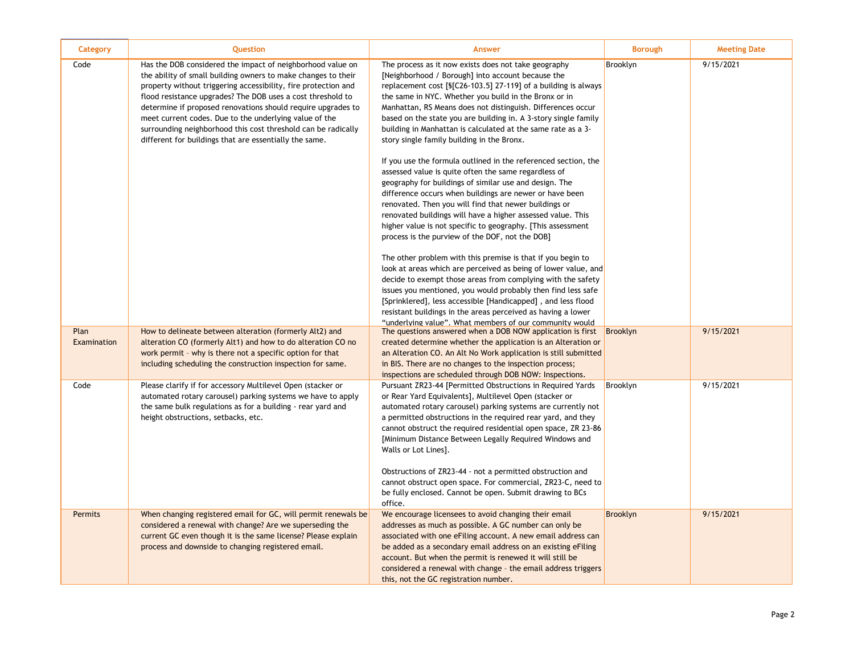| Category            | <b>Question</b>                                                                                                                                                                                                                                                                                                                                                                                                                                                                                                   | <b>Answer</b>                                                                                                                                                                                                                                                                                                                                                                                                                                                                                                                                                                                                                                                                                                                                                                                                                                                                                                                                                                                                                                                                                                                                                                                                                                                                                                                                                                                                                             | <b>Borough</b>  | <b>Meeting Date</b> |
|---------------------|-------------------------------------------------------------------------------------------------------------------------------------------------------------------------------------------------------------------------------------------------------------------------------------------------------------------------------------------------------------------------------------------------------------------------------------------------------------------------------------------------------------------|-------------------------------------------------------------------------------------------------------------------------------------------------------------------------------------------------------------------------------------------------------------------------------------------------------------------------------------------------------------------------------------------------------------------------------------------------------------------------------------------------------------------------------------------------------------------------------------------------------------------------------------------------------------------------------------------------------------------------------------------------------------------------------------------------------------------------------------------------------------------------------------------------------------------------------------------------------------------------------------------------------------------------------------------------------------------------------------------------------------------------------------------------------------------------------------------------------------------------------------------------------------------------------------------------------------------------------------------------------------------------------------------------------------------------------------------|-----------------|---------------------|
| Code                | Has the DOB considered the impact of neighborhood value on<br>the ability of small building owners to make changes to their<br>property without triggering accessibility, fire protection and<br>flood resistance upgrades? The DOB uses a cost threshold to<br>determine if proposed renovations should require upgrades to<br>meet current codes. Due to the underlying value of the<br>surrounding neighborhood this cost threshold can be radically<br>different for buildings that are essentially the same. | The process as it now exists does not take geography<br>[Neighborhood / Borough] into account because the<br>replacement cost [§[C26-103.5] 27-119] of a building is always<br>the same in NYC. Whether you build in the Bronx or in<br>Manhattan, RS Means does not distinguish. Differences occur<br>based on the state you are building in. A 3-story single family<br>building in Manhattan is calculated at the same rate as a 3-<br>story single family building in the Bronx.<br>If you use the formula outlined in the referenced section, the<br>assessed value is quite often the same regardless of<br>geography for buildings of similar use and design. The<br>difference occurs when buildings are newer or have been<br>renovated. Then you will find that newer buildings or<br>renovated buildings will have a higher assessed value. This<br>higher value is not specific to geography. [This assessment]<br>process is the purview of the DOF, not the DOB]<br>The other problem with this premise is that if you begin to<br>look at areas which are perceived as being of lower value, and<br>decide to exempt those areas from complying with the safety<br>issues you mentioned, you would probably then find less safe<br>[Sprinklered], less accessible [Handicapped], and less flood<br>resistant buildings in the areas perceived as having a lower<br>"underlying value". What members of our community would | Brooklyn        | 9/15/2021           |
| Plan<br>Examination | How to delineate between alteration (formerly Alt2) and<br>alteration CO (formerly Alt1) and how to do alteration CO no<br>work permit - why is there not a specific option for that<br>including scheduling the construction inspection for same.                                                                                                                                                                                                                                                                | The questions answered when a DOB NOW application is first<br>created determine whether the application is an Alteration or<br>an Alteration CO. An Alt No Work application is still submitted<br>in BIS. There are no changes to the inspection process;<br>inspections are scheduled through DOB NOW: Inspections.                                                                                                                                                                                                                                                                                                                                                                                                                                                                                                                                                                                                                                                                                                                                                                                                                                                                                                                                                                                                                                                                                                                      | Brooklyn        | 9/15/2021           |
| Code                | Please clarify if for accessory Multilevel Open (stacker or<br>automated rotary carousel) parking systems we have to apply<br>the same bulk regulations as for a building - rear yard and<br>height obstructions, setbacks, etc.                                                                                                                                                                                                                                                                                  | Pursuant ZR23-44 [Permitted Obstructions in Required Yards<br>or Rear Yard Equivalents], Multilevel Open (stacker or<br>automated rotary carousel) parking systems are currently not<br>a permitted obstructions in the required rear yard, and they<br>cannot obstruct the required residential open space, ZR 23-86<br>[Minimum Distance Between Legally Required Windows and<br>Walls or Lot Lines].<br>Obstructions of ZR23-44 - not a permitted obstruction and<br>cannot obstruct open space. For commercial, ZR23-C, need to<br>be fully enclosed. Cannot be open. Submit drawing to BCs<br>office.                                                                                                                                                                                                                                                                                                                                                                                                                                                                                                                                                                                                                                                                                                                                                                                                                                | Brooklyn        | 9/15/2021           |
| <b>Permits</b>      | When changing registered email for GC, will permit renewals be<br>considered a renewal with change? Are we superseding the<br>current GC even though it is the same license? Please explain<br>process and downside to changing registered email.                                                                                                                                                                                                                                                                 | We encourage licensees to avoid changing their email<br>addresses as much as possible. A GC number can only be<br>associated with one eFiling account. A new email address can<br>be added as a secondary email address on an existing eFiling<br>account. But when the permit is renewed it will still be<br>considered a renewal with change - the email address triggers<br>this, not the GC registration number.                                                                                                                                                                                                                                                                                                                                                                                                                                                                                                                                                                                                                                                                                                                                                                                                                                                                                                                                                                                                                      | <b>Brooklyn</b> | 9/15/2021           |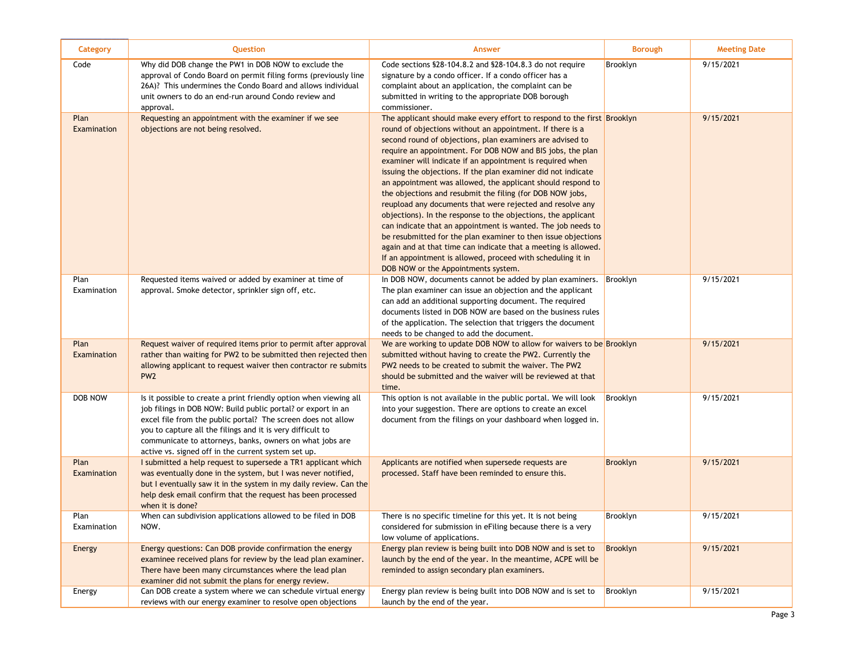| Category            | Question                                                                                                                                                                                                                                                                                                                                                                           | Answer                                                                                                                                                                                                                                                                                                                                                                                                                                                                                                                                                                                                                                                                                                                                                                                                                                                                                                                                                           | <b>Borough</b> | <b>Meeting Date</b> |
|---------------------|------------------------------------------------------------------------------------------------------------------------------------------------------------------------------------------------------------------------------------------------------------------------------------------------------------------------------------------------------------------------------------|------------------------------------------------------------------------------------------------------------------------------------------------------------------------------------------------------------------------------------------------------------------------------------------------------------------------------------------------------------------------------------------------------------------------------------------------------------------------------------------------------------------------------------------------------------------------------------------------------------------------------------------------------------------------------------------------------------------------------------------------------------------------------------------------------------------------------------------------------------------------------------------------------------------------------------------------------------------|----------------|---------------------|
| Code                | Why did DOB change the PW1 in DOB NOW to exclude the<br>approval of Condo Board on permit filing forms (previously line<br>26A)? This undermines the Condo Board and allows individual<br>unit owners to do an end-run around Condo review and<br>approval.                                                                                                                        | Code sections \$28-104.8.2 and \$28-104.8.3 do not require<br>signature by a condo officer. If a condo officer has a<br>complaint about an application, the complaint can be<br>submitted in writing to the appropriate DOB borough<br>commissioner.                                                                                                                                                                                                                                                                                                                                                                                                                                                                                                                                                                                                                                                                                                             | Brooklyn       | 9/15/2021           |
| Plan<br>Examination | Requesting an appointment with the examiner if we see<br>objections are not being resolved.                                                                                                                                                                                                                                                                                        | The applicant should make every effort to respond to the first Brooklyn<br>round of objections without an appointment. If there is a<br>second round of objections, plan examiners are advised to<br>require an appointment. For DOB NOW and BIS jobs, the plan<br>examiner will indicate if an appointment is required when<br>issuing the objections. If the plan examiner did not indicate<br>an appointment was allowed, the applicant should respond to<br>the objections and resubmit the filing (for DOB NOW jobs,<br>reupload any documents that were rejected and resolve any<br>objections). In the response to the objections, the applicant<br>can indicate that an appointment is wanted. The job needs to<br>be resubmitted for the plan examiner to then issue objections<br>again and at that time can indicate that a meeting is allowed.<br>If an appointment is allowed, proceed with scheduling it in<br>DOB NOW or the Appointments system. |                | 9/15/2021           |
| Plan<br>Examination | Requested items waived or added by examiner at time of<br>approval. Smoke detector, sprinkler sign off, etc.                                                                                                                                                                                                                                                                       | In DOB NOW, documents cannot be added by plan examiners.<br>The plan examiner can issue an objection and the applicant<br>can add an additional supporting document. The required<br>documents listed in DOB NOW are based on the business rules<br>of the application. The selection that triggers the document<br>needs to be changed to add the document.                                                                                                                                                                                                                                                                                                                                                                                                                                                                                                                                                                                                     | Brooklyn       | 9/15/2021           |
| Plan<br>Examination | Request waiver of required items prior to permit after approval<br>rather than waiting for PW2 to be submitted then rejected then<br>allowing applicant to request waiver then contractor re submits<br>PW <sub>2</sub>                                                                                                                                                            | We are working to update DOB NOW to allow for waivers to be Brooklyn<br>submitted without having to create the PW2. Currently the<br>PW2 needs to be created to submit the waiver. The PW2<br>should be submitted and the waiver will be reviewed at that<br>time.                                                                                                                                                                                                                                                                                                                                                                                                                                                                                                                                                                                                                                                                                               |                | 9/15/2021           |
| DOB NOW             | Is it possible to create a print friendly option when viewing all<br>job filings in DOB NOW: Build public portal? or export in an<br>excel file from the public portal? The screen does not allow<br>you to capture all the filings and it is very difficult to<br>communicate to attorneys, banks, owners on what jobs are<br>active vs. signed off in the current system set up. | This option is not available in the public portal. We will look<br>into your suggestion. There are options to create an excel<br>document from the filings on your dashboard when logged in.                                                                                                                                                                                                                                                                                                                                                                                                                                                                                                                                                                                                                                                                                                                                                                     | Brooklyn       | 9/15/2021           |
| Plan<br>Examination | I submitted a help request to supersede a TR1 applicant which<br>was eventually done in the system, but I was never notified,<br>but I eventually saw it in the system in my daily review. Can the<br>help desk email confirm that the request has been processed<br>when it is done?                                                                                              | Applicants are notified when supersede requests are<br>processed. Staff have been reminded to ensure this.                                                                                                                                                                                                                                                                                                                                                                                                                                                                                                                                                                                                                                                                                                                                                                                                                                                       | Brooklyn       | 9/15/2021           |
| Plan<br>Examination | When can subdivision applications allowed to be filed in DOB<br>NOW.                                                                                                                                                                                                                                                                                                               | There is no specific timeline for this yet. It is not being<br>considered for submission in eFiling because there is a very<br>low volume of applications.                                                                                                                                                                                                                                                                                                                                                                                                                                                                                                                                                                                                                                                                                                                                                                                                       | Brooklyn       | 9/15/2021           |
| Energy              | Energy questions: Can DOB provide confirmation the energy<br>examinee received plans for review by the lead plan examiner.<br>There have been many circumstances where the lead plan<br>examiner did not submit the plans for energy review.                                                                                                                                       | Energy plan review is being built into DOB NOW and is set to<br>launch by the end of the year. In the meantime, ACPE will be<br>reminded to assign secondary plan examiners.                                                                                                                                                                                                                                                                                                                                                                                                                                                                                                                                                                                                                                                                                                                                                                                     | Brooklyn       | 9/15/2021           |
| Energy              | Can DOB create a system where we can schedule virtual energy<br>reviews with our energy examiner to resolve open objections                                                                                                                                                                                                                                                        | Energy plan review is being built into DOB NOW and is set to<br>launch by the end of the year.                                                                                                                                                                                                                                                                                                                                                                                                                                                                                                                                                                                                                                                                                                                                                                                                                                                                   | Brooklyn       | 9/15/2021           |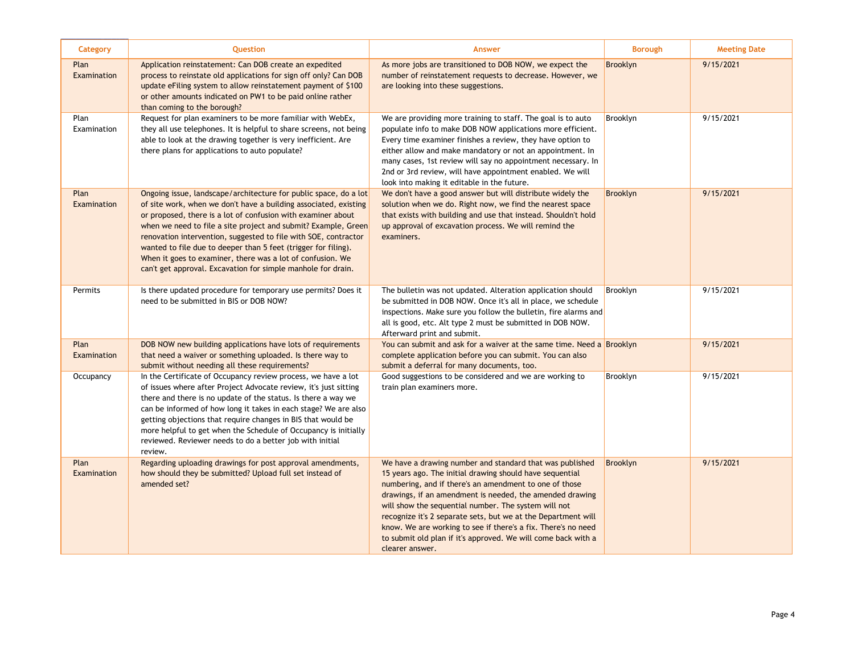| Category            | Question                                                                                                                                                                                                                                                                                                                                                                                                                                                                                                                                  | <b>Answer</b>                                                                                                                                                                                                                                                                                                                                                                                                                                                                                                            | <b>Borough</b>  | <b>Meeting Date</b> |
|---------------------|-------------------------------------------------------------------------------------------------------------------------------------------------------------------------------------------------------------------------------------------------------------------------------------------------------------------------------------------------------------------------------------------------------------------------------------------------------------------------------------------------------------------------------------------|--------------------------------------------------------------------------------------------------------------------------------------------------------------------------------------------------------------------------------------------------------------------------------------------------------------------------------------------------------------------------------------------------------------------------------------------------------------------------------------------------------------------------|-----------------|---------------------|
| Plan<br>Examination | Application reinstatement: Can DOB create an expedited<br>process to reinstate old applications for sign off only? Can DOB<br>update eFiling system to allow reinstatement payment of \$100<br>or other amounts indicated on PW1 to be paid online rather<br>than coming to the borough?                                                                                                                                                                                                                                                  | As more jobs are transitioned to DOB NOW, we expect the<br>number of reinstatement requests to decrease. However, we<br>are looking into these suggestions.                                                                                                                                                                                                                                                                                                                                                              | <b>Brooklyn</b> | 9/15/2021           |
| Plan<br>Examination | Request for plan examiners to be more familiar with WebEx,<br>they all use telephones. It is helpful to share screens, not being<br>able to look at the drawing together is very inefficient. Are<br>there plans for applications to auto populate?                                                                                                                                                                                                                                                                                       | We are providing more training to staff. The goal is to auto<br>populate info to make DOB NOW applications more efficient.<br>Every time examiner finishes a review, they have option to<br>either allow and make mandatory or not an appointment. In<br>many cases, 1st review will say no appointment necessary. In<br>2nd or 3rd review, will have appointment enabled. We will<br>look into making it editable in the future.                                                                                        | Brooklyn        | 9/15/2021           |
| Plan<br>Examination | Ongoing issue, landscape/architecture for public space, do a lot<br>of site work, when we don't have a building associated, existing<br>or proposed, there is a lot of confusion with examiner about<br>when we need to file a site project and submit? Example, Green<br>renovation intervention, suggested to file with SOE, contractor<br>wanted to file due to deeper than 5 feet (trigger for filing).<br>When it goes to examiner, there was a lot of confusion. We<br>can't get approval. Excavation for simple manhole for drain. | We don't have a good answer but will distribute widely the<br>solution when we do. Right now, we find the nearest space<br>that exists with building and use that instead. Shouldn't hold<br>up approval of excavation process. We will remind the<br>examiners.                                                                                                                                                                                                                                                         | <b>Brooklyn</b> | 9/15/2021           |
| Permits             | Is there updated procedure for temporary use permits? Does it<br>need to be submitted in BIS or DOB NOW?                                                                                                                                                                                                                                                                                                                                                                                                                                  | The bulletin was not updated. Alteration application should<br>be submitted in DOB NOW. Once it's all in place, we schedule<br>inspections. Make sure you follow the bulletin, fire alarms and<br>all is good, etc. Alt type 2 must be submitted in DOB NOW.<br>Afterward print and submit.                                                                                                                                                                                                                              | Brooklyn        | 9/15/2021           |
| Plan<br>Examination | DOB NOW new building applications have lots of requirements<br>that need a waiver or something uploaded. Is there way to<br>submit without needing all these requirements?                                                                                                                                                                                                                                                                                                                                                                | You can submit and ask for a waiver at the same time. Need a Brooklyn<br>complete application before you can submit. You can also<br>submit a deferral for many documents, too.                                                                                                                                                                                                                                                                                                                                          |                 | 9/15/2021           |
| Occupancy           | In the Certificate of Occupancy review process, we have a lot<br>of issues where after Project Advocate review, it's just sitting<br>there and there is no update of the status. Is there a way we<br>can be informed of how long it takes in each stage? We are also<br>getting objections that require changes in BIS that would be<br>more helpful to get when the Schedule of Occupancy is initially<br>reviewed. Reviewer needs to do a better job with initial<br>review.                                                           | Good suggestions to be considered and we are working to<br>train plan examiners more.                                                                                                                                                                                                                                                                                                                                                                                                                                    | Brooklyn        | 9/15/2021           |
| Plan<br>Examination | Regarding uploading drawings for post approval amendments,<br>how should they be submitted? Upload full set instead of<br>amended set?                                                                                                                                                                                                                                                                                                                                                                                                    | We have a drawing number and standard that was published<br>15 years ago. The initial drawing should have sequential<br>numbering, and if there's an amendment to one of those<br>drawings, if an amendment is needed, the amended drawing<br>will show the sequential number. The system will not<br>recognize it's 2 separate sets, but we at the Department will<br>know. We are working to see if there's a fix. There's no need<br>to submit old plan if it's approved. We will come back with a<br>clearer answer. | <b>Brooklyn</b> | 9/15/2021           |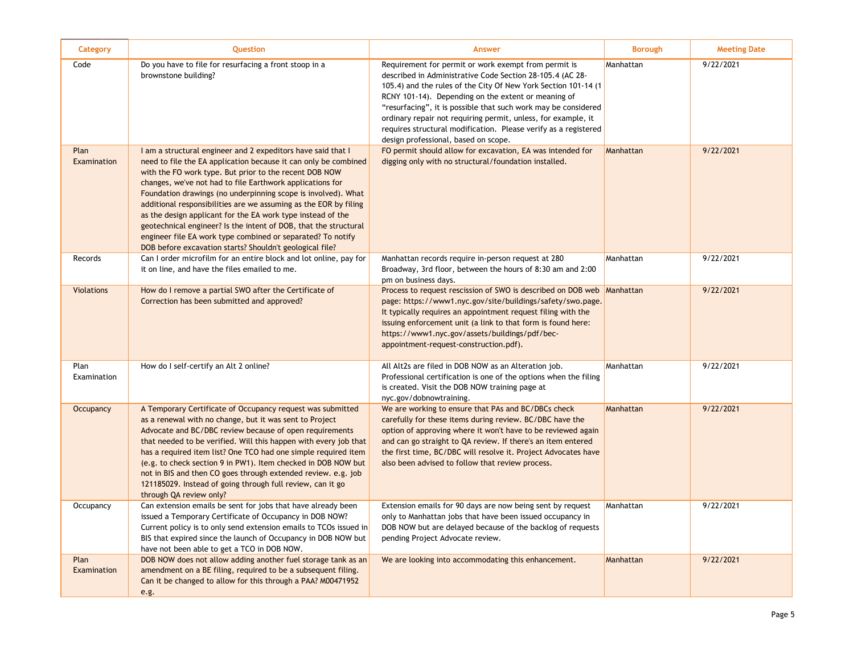| Category            | Question                                                                                                                                                                                                                                                                                                                                                                                                                                                                                                                                                                                                                                                  | <b>Answer</b>                                                                                                                                                                                                                                                                                                                                                                                                                                                                            | <b>Borough</b> | <b>Meeting Date</b> |
|---------------------|-----------------------------------------------------------------------------------------------------------------------------------------------------------------------------------------------------------------------------------------------------------------------------------------------------------------------------------------------------------------------------------------------------------------------------------------------------------------------------------------------------------------------------------------------------------------------------------------------------------------------------------------------------------|------------------------------------------------------------------------------------------------------------------------------------------------------------------------------------------------------------------------------------------------------------------------------------------------------------------------------------------------------------------------------------------------------------------------------------------------------------------------------------------|----------------|---------------------|
| Code                | Do you have to file for resurfacing a front stoop in a<br>brownstone building?                                                                                                                                                                                                                                                                                                                                                                                                                                                                                                                                                                            | Requirement for permit or work exempt from permit is<br>described in Administrative Code Section 28-105.4 (AC 28-<br>105.4) and the rules of the City Of New York Section 101-14 (1<br>RCNY 101-14). Depending on the extent or meaning of<br>"resurfacing", it is possible that such work may be considered<br>ordinary repair not requiring permit, unless, for example, it<br>requires structural modification. Please verify as a registered<br>design professional, based on scope. | Manhattan      | 9/22/2021           |
| Plan<br>Examination | I am a structural engineer and 2 expeditors have said that I<br>need to file the EA application because it can only be combined<br>with the FO work type. But prior to the recent DOB NOW<br>changes, we've not had to file Earthwork applications for<br>Foundation drawings (no underpinning scope is involved). What<br>additional responsibilities are we assuming as the EOR by filing<br>as the design applicant for the EA work type instead of the<br>geotechnical engineer? Is the intent of DOB, that the structural<br>engineer file EA work type combined or separated? To notify<br>DOB before excavation starts? Shouldn't geological file? | FO permit should allow for excavation, EA was intended for<br>digging only with no structural/foundation installed.                                                                                                                                                                                                                                                                                                                                                                      | Manhattan      | 9/22/2021           |
| Records             | Can I order microfilm for an entire block and lot online, pay for<br>it on line, and have the files emailed to me.                                                                                                                                                                                                                                                                                                                                                                                                                                                                                                                                        | Manhattan records require in-person request at 280<br>Broadway, 3rd floor, between the hours of 8:30 am and 2:00<br>pm on business days.                                                                                                                                                                                                                                                                                                                                                 | Manhattan      | 9/22/2021           |
| <b>Violations</b>   | How do I remove a partial SWO after the Certificate of<br>Correction has been submitted and approved?                                                                                                                                                                                                                                                                                                                                                                                                                                                                                                                                                     | Process to request rescission of SWO is described on DOB web<br>page: https://www1.nyc.gov/site/buildings/safety/swo.page.<br>It typically requires an appointment request filing with the<br>issuing enforcement unit (a link to that form is found here:<br>https://www1.nyc.gov/assets/buildings/pdf/bec-<br>appointment-request-construction.pdf).                                                                                                                                   | Manhattan      | 9/22/2021           |
| Plan<br>Examination | How do I self-certify an Alt 2 online?                                                                                                                                                                                                                                                                                                                                                                                                                                                                                                                                                                                                                    | All Alt2s are filed in DOB NOW as an Alteration job.<br>Professional certification is one of the options when the filing<br>is created. Visit the DOB NOW training page at<br>nyc.gov/dobnowtraining.                                                                                                                                                                                                                                                                                    | Manhattan      | 9/22/2021           |
| Occupancy           | A Temporary Certificate of Occupancy request was submitted<br>as a renewal with no change, but it was sent to Project<br>Advocate and BC/DBC review because of open requirements<br>that needed to be verified. Will this happen with every job that<br>has a required item list? One TCO had one simple required item<br>(e.g. to check section 9 in PW1). Item checked in DOB NOW but<br>not in BIS and then CO goes through extended review. e.g. job<br>121185029. Instead of going through full review, can it go<br>through QA review only?                                                                                                         | We are working to ensure that PAs and BC/DBCs check<br>carefully for these items during review. BC/DBC have the<br>option of approving where it won't have to be reviewed again<br>and can go straight to QA review. If there's an item entered<br>the first time, BC/DBC will resolve it. Project Advocates have<br>also been advised to follow that review process.                                                                                                                    | Manhattan      | 9/22/2021           |
| Occupancy           | Can extension emails be sent for jobs that have already been<br>issued a Temporary Certificate of Occupancy in DOB NOW?<br>Current policy is to only send extension emails to TCOs issued in<br>BIS that expired since the launch of Occupancy in DOB NOW but<br>have not been able to get a TCO in DOB NOW.                                                                                                                                                                                                                                                                                                                                              | Extension emails for 90 days are now being sent by request<br>only to Manhattan jobs that have been issued occupancy in<br>DOB NOW but are delayed because of the backlog of requests<br>pending Project Advocate review.                                                                                                                                                                                                                                                                | Manhattan      | 9/22/2021           |
| Plan<br>Examination | DOB NOW does not allow adding another fuel storage tank as an<br>amendment on a BE filing, required to be a subsequent filing.<br>Can it be changed to allow for this through a PAA? M00471952<br>e.g.                                                                                                                                                                                                                                                                                                                                                                                                                                                    | We are looking into accommodating this enhancement.                                                                                                                                                                                                                                                                                                                                                                                                                                      | Manhattan      | 9/22/2021           |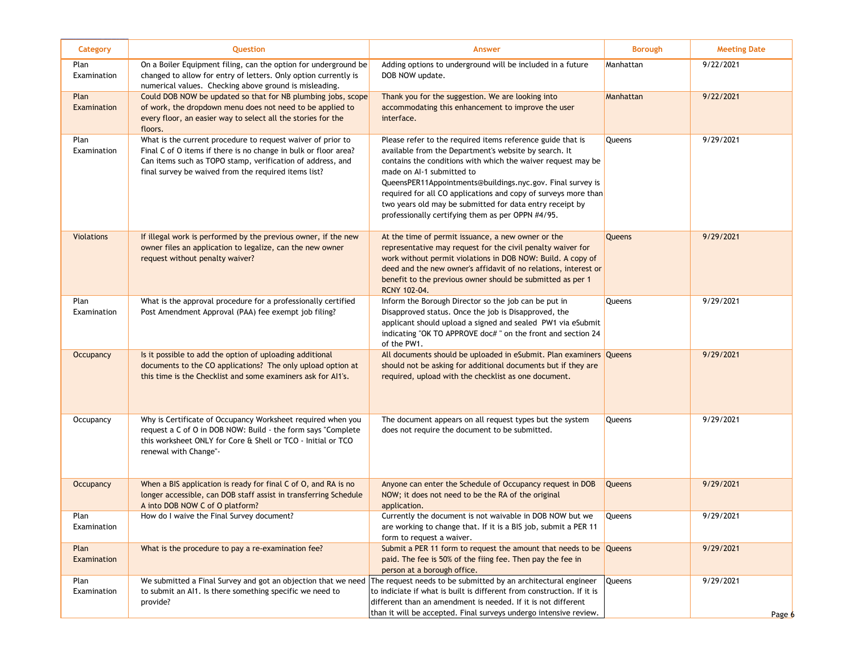| <b>Category</b>     | Question                                                                                                                                                                                                                                             | Answer                                                                                                                                                                                                                                                                                                                                                                                                                                                            | <b>Borough</b> | <b>Meeting Date</b> |
|---------------------|------------------------------------------------------------------------------------------------------------------------------------------------------------------------------------------------------------------------------------------------------|-------------------------------------------------------------------------------------------------------------------------------------------------------------------------------------------------------------------------------------------------------------------------------------------------------------------------------------------------------------------------------------------------------------------------------------------------------------------|----------------|---------------------|
| Plan<br>Examination | On a Boiler Equipment filing, can the option for underground be<br>changed to allow for entry of letters. Only option currently is<br>numerical values. Checking above ground is misleading.                                                         | Adding options to underground will be included in a future<br>DOB NOW update.                                                                                                                                                                                                                                                                                                                                                                                     | Manhattan      | 9/22/2021           |
| Plan<br>Examination | Could DOB NOW be updated so that for NB plumbing jobs, scope<br>of work, the dropdown menu does not need to be applied to<br>every floor, an easier way to select all the stories for the<br>floors.                                                 | Thank you for the suggestion. We are looking into<br>accommodating this enhancement to improve the user<br>interface.                                                                                                                                                                                                                                                                                                                                             | Manhattan      | 9/22/2021           |
| Plan<br>Examination | What is the current procedure to request waiver of prior to<br>Final C of O items if there is no change in bulk or floor area?<br>Can items such as TOPO stamp, verification of address, and<br>final survey be waived from the required items list? | Please refer to the required items reference guide that is<br>available from the Department's website by search. It<br>contains the conditions with which the waiver request may be<br>made on AI-1 submitted to<br>QueensPER11Appointments@buildings.nyc.gov. Final survey is<br>required for all CO applications and copy of surveys more than<br>two years old may be submitted for data entry receipt by<br>professionally certifying them as per OPPN #4/95. | Queens         | 9/29/2021           |
| <b>Violations</b>   | If illegal work is performed by the previous owner, if the new<br>owner files an application to legalize, can the new owner<br>request without penalty waiver?                                                                                       | At the time of permit issuance, a new owner or the<br>representative may request for the civil penalty waiver for<br>work without permit violations in DOB NOW: Build. A copy of<br>deed and the new owner's affidavit of no relations, interest or<br>benefit to the previous owner should be submitted as per 1<br><b>RCNY 102-04.</b>                                                                                                                          | Queens         | 9/29/2021           |
| Plan<br>Examination | What is the approval procedure for a professionally certified<br>Post Amendment Approval (PAA) fee exempt job filing?                                                                                                                                | Inform the Borough Director so the job can be put in<br>Disapproved status. Once the job is Disapproved, the<br>applicant should upload a signed and sealed PW1 via eSubmit<br>indicating "OK TO APPROVE doc#" on the front and section 24<br>of the PW1.                                                                                                                                                                                                         | Queens         | 9/29/2021           |
| Occupancy           | Is it possible to add the option of uploading additional<br>documents to the CO applications? The only upload option at<br>this time is the Checklist and some examiners ask for Al1's.                                                              | All documents should be uploaded in eSubmit. Plan examiners Queens<br>should not be asking for additional documents but if they are<br>required, upload with the checklist as one document.                                                                                                                                                                                                                                                                       |                | 9/29/2021           |
| Occupancy           | Why is Certificate of Occupancy Worksheet required when you<br>request a C of O in DOB NOW: Build - the form says "Complete"<br>this worksheet ONLY for Core & Shell or TCO - Initial or TCO<br>renewal with Change"-                                | The document appears on all request types but the system<br>does not require the document to be submitted.                                                                                                                                                                                                                                                                                                                                                        | Queens         | 9/29/2021           |
| Occupancy           | When a BIS application is ready for final C of O, and RA is no<br>longer accessible, can DOB staff assist in transferring Schedule<br>A into DOB NOW C of O platform?                                                                                | Anyone can enter the Schedule of Occupancy request in DOB<br>NOW; it does not need to be the RA of the original<br>application.                                                                                                                                                                                                                                                                                                                                   | Queens         | 9/29/2021           |
| Plan<br>Examination | How do I waive the Final Survey document?                                                                                                                                                                                                            | Currently the document is not waivable in DOB NOW but we<br>are working to change that. If it is a BIS job, submit a PER 11<br>form to request a waiver.                                                                                                                                                                                                                                                                                                          | <b>Queens</b>  | 9/29/2021           |
| Plan<br>Examination | What is the procedure to pay a re-examination fee?                                                                                                                                                                                                   | Submit a PER 11 form to request the amount that needs to be Queens<br>paid. The fee is 50% of the fiing fee. Then pay the fee in<br>person at a borough office.                                                                                                                                                                                                                                                                                                   |                | 9/29/2021           |
| Plan<br>Examination | We submitted a Final Survey and got an objection that we need The request needs to be submitted by an architectural engineer<br>to submit an Al1. Is there something specific we need to<br>provide?                                                 | to indiciate if what is built is different from construction. If it is<br>different than an amendment is needed. If it is not different<br>than it will be accepted. Final surveys undergo intensive review.                                                                                                                                                                                                                                                      | Queens         | 9/29/2021<br>Page 6 |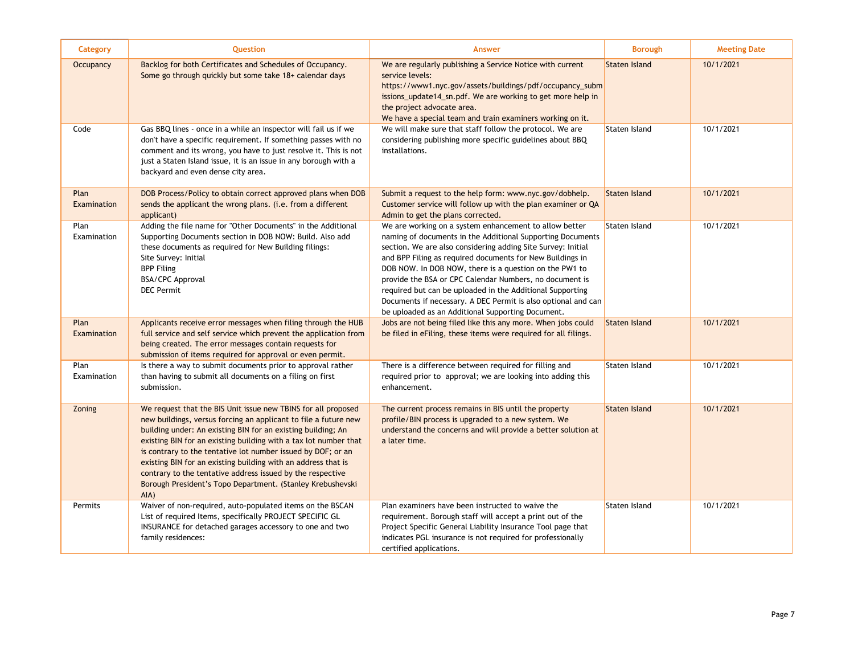| Category            | Question                                                                                                                                                                                                                                                                                                                                                                                                                                                                                                                                     | <b>Answer</b>                                                                                                                                                                                                                                                                                                                                                                                                                                                                                                                                             | <b>Borough</b>       | <b>Meeting Date</b> |
|---------------------|----------------------------------------------------------------------------------------------------------------------------------------------------------------------------------------------------------------------------------------------------------------------------------------------------------------------------------------------------------------------------------------------------------------------------------------------------------------------------------------------------------------------------------------------|-----------------------------------------------------------------------------------------------------------------------------------------------------------------------------------------------------------------------------------------------------------------------------------------------------------------------------------------------------------------------------------------------------------------------------------------------------------------------------------------------------------------------------------------------------------|----------------------|---------------------|
| Occupancy           | Backlog for both Certificates and Schedules of Occupancy.<br>Some go through quickly but some take 18+ calendar days                                                                                                                                                                                                                                                                                                                                                                                                                         | We are regularly publishing a Service Notice with current<br>service levels:<br>https://www1.nyc.gov/assets/buildings/pdf/occupancy_subm<br>issions_update14_sn.pdf. We are working to get more help in<br>the project advocate area.<br>We have a special team and train examiners working on it.                                                                                                                                                                                                                                                        | <b>Staten Island</b> | 10/1/2021           |
| Code                | Gas BBQ lines - once in a while an inspector will fail us if we<br>don't have a specific requirement. If something passes with no<br>comment and its wrong, you have to just resolve it. This is not<br>just a Staten Island issue, it is an issue in any borough with a<br>backyard and even dense city area.                                                                                                                                                                                                                               | We will make sure that staff follow the protocol. We are<br>considering publishing more specific guidelines about BBQ<br>installations.                                                                                                                                                                                                                                                                                                                                                                                                                   | Staten Island        | 10/1/2021           |
| Plan<br>Examination | DOB Process/Policy to obtain correct approved plans when DOB<br>sends the applicant the wrong plans. (i.e. from a different<br>applicant)                                                                                                                                                                                                                                                                                                                                                                                                    | Submit a request to the help form: www.nyc.gov/dobhelp.<br>Customer service will follow up with the plan examiner or QA<br>Admin to get the plans corrected.                                                                                                                                                                                                                                                                                                                                                                                              | <b>Staten Island</b> | 10/1/2021           |
| Plan<br>Examination | Adding the file name for "Other Documents" in the Additional<br>Supporting Documents section in DOB NOW: Build. Also add<br>these documents as required for New Building filings:<br>Site Survey: Initial<br><b>BPP Filing</b><br>BSA/CPC Approval<br><b>DEC</b> Permit                                                                                                                                                                                                                                                                      | We are working on a system enhancement to allow better<br>naming of documents in the Additional Supporting Documents<br>section. We are also considering adding Site Survey: Initial<br>and BPP Filing as required documents for New Buildings in<br>DOB NOW. In DOB NOW, there is a question on the PW1 to<br>provide the BSA or CPC Calendar Numbers, no document is<br>required but can be uploaded in the Additional Supporting<br>Documents if necessary. A DEC Permit is also optional and can<br>be uploaded as an Additional Supporting Document. | Staten Island        | 10/1/2021           |
| Plan<br>Examination | Applicants receive error messages when filing through the HUB<br>full service and self service which prevent the application from<br>being created. The error messages contain requests for<br>submission of items required for approval or even permit.                                                                                                                                                                                                                                                                                     | Jobs are not being filed like this any more. When jobs could<br>be filed in eFiling, these items were required for all filings.                                                                                                                                                                                                                                                                                                                                                                                                                           | <b>Staten Island</b> | 10/1/2021           |
| Plan<br>Examination | Is there a way to submit documents prior to approval rather<br>than having to submit all documents on a filing on first<br>submission.                                                                                                                                                                                                                                                                                                                                                                                                       | There is a difference between required for filling and<br>required prior to approval; we are looking into adding this<br>enhancement.                                                                                                                                                                                                                                                                                                                                                                                                                     | Staten Island        | 10/1/2021           |
| Zoning              | We request that the BIS Unit issue new TBINS for all proposed<br>new buildings, versus forcing an applicant to file a future new<br>building under: An existing BIN for an existing building; An<br>existing BIN for an existing building with a tax lot number that<br>is contrary to the tentative lot number issued by DOF; or an<br>existing BIN for an existing building with an address that is<br>contrary to the tentative address issued by the respective<br>Borough President's Topo Department. (Stanley Krebushevski<br>$AIA$ ) | The current process remains in BIS until the property<br>profile/BIN process is upgraded to a new system. We<br>understand the concerns and will provide a better solution at<br>a later time.                                                                                                                                                                                                                                                                                                                                                            | <b>Staten Island</b> | 10/1/2021           |
| Permits             | Waiver of non-required, auto-populated items on the BSCAN<br>List of required Items, specifically PROJECT SPECIFIC GL<br>INSURANCE for detached garages accessory to one and two<br>family residences:                                                                                                                                                                                                                                                                                                                                       | Plan examiners have been instructed to waive the<br>requirement. Borough staff will accept a print out of the<br>Project Specific General Liability Insurance Tool page that<br>indicates PGL insurance is not required for professionally<br>certified applications.                                                                                                                                                                                                                                                                                     | <b>Staten Island</b> | 10/1/2021           |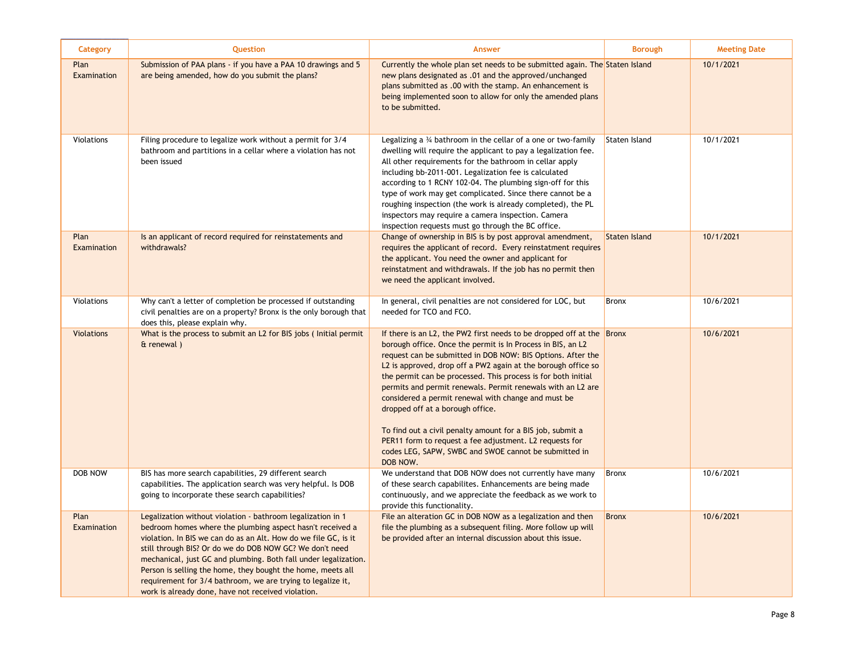| Category            | Question                                                                                                                                                                                                                                                                                                                                                                                                                                                                                                       | <b>Answer</b>                                                                                                                                                                                                                                                                                                                                                                                                                                                                                                                                                                                                                                                                                         | <b>Borough</b>       | <b>Meeting Date</b> |
|---------------------|----------------------------------------------------------------------------------------------------------------------------------------------------------------------------------------------------------------------------------------------------------------------------------------------------------------------------------------------------------------------------------------------------------------------------------------------------------------------------------------------------------------|-------------------------------------------------------------------------------------------------------------------------------------------------------------------------------------------------------------------------------------------------------------------------------------------------------------------------------------------------------------------------------------------------------------------------------------------------------------------------------------------------------------------------------------------------------------------------------------------------------------------------------------------------------------------------------------------------------|----------------------|---------------------|
| Plan<br>Examination | Submission of PAA plans - if you have a PAA 10 drawings and 5<br>are being amended, how do you submit the plans?                                                                                                                                                                                                                                                                                                                                                                                               | Currently the whole plan set needs to be submitted again. The Staten Island<br>new plans designated as .01 and the approved/unchanged<br>plans submitted as .00 with the stamp. An enhancement is<br>being implemented soon to allow for only the amended plans<br>to be submitted.                                                                                                                                                                                                                                                                                                                                                                                                                   |                      | 10/1/2021           |
| Violations          | Filing procedure to legalize work without a permit for 3/4<br>bathroom and partitions in a cellar where a violation has not<br>been issued                                                                                                                                                                                                                                                                                                                                                                     | Legalizing a $\frac{3}{4}$ bathroom in the cellar of a one or two-family<br>dwelling will require the applicant to pay a legalization fee.<br>All other requirements for the bathroom in cellar apply<br>including bb-2011-001. Legalization fee is calculated<br>according to 1 RCNY 102-04. The plumbing sign-off for this<br>type of work may get complicated. Since there cannot be a<br>roughing inspection (the work is already completed), the PL<br>inspectors may require a camera inspection. Camera<br>inspection requests must go through the BC office.                                                                                                                                  | Staten Island        | 10/1/2021           |
| Plan<br>Examination | Is an applicant of record required for reinstatements and<br>withdrawals?                                                                                                                                                                                                                                                                                                                                                                                                                                      | Change of ownership in BIS is by post approval amendment,<br>requires the applicant of record. Every reinstatment requires<br>the applicant. You need the owner and applicant for<br>reinstatment and withdrawals. If the job has no permit then<br>we need the applicant involved.                                                                                                                                                                                                                                                                                                                                                                                                                   | <b>Staten Island</b> | 10/1/2021           |
| Violations          | Why can't a letter of completion be processed if outstanding<br>civil penalties are on a property? Bronx is the only borough that<br>does this, please explain why.                                                                                                                                                                                                                                                                                                                                            | In general, civil penalties are not considered for LOC, but<br>needed for TCO and FCO.                                                                                                                                                                                                                                                                                                                                                                                                                                                                                                                                                                                                                | <b>Bronx</b>         | 10/6/2021           |
| <b>Violations</b>   | What is the process to submit an L2 for BIS jobs (Initial permit<br>$\alpha$ renewal)                                                                                                                                                                                                                                                                                                                                                                                                                          | If there is an L2, the PW2 first needs to be dropped off at the $\vert$ Bronx<br>borough office. Once the permit is In Process in BIS, an L2<br>request can be submitted in DOB NOW: BIS Options. After the<br>L2 is approved, drop off a PW2 again at the borough office so<br>the permit can be processed. This process is for both initial<br>permits and permit renewals. Permit renewals with an L2 are<br>considered a permit renewal with change and must be<br>dropped off at a borough office.<br>To find out a civil penalty amount for a BIS job, submit a<br>PER11 form to request a fee adjustment. L2 requests for<br>codes LEG, SAPW, SWBC and SWOE cannot be submitted in<br>DOB NOW. |                      | 10/6/2021           |
| DOB NOW             | BIS has more search capabilities, 29 different search<br>capabilities. The application search was very helpful. Is DOB<br>going to incorporate these search capabilities?                                                                                                                                                                                                                                                                                                                                      | We understand that DOB NOW does not currently have many<br>of these search capabilites. Enhancements are being made<br>continuously, and we appreciate the feedback as we work to<br>provide this functionality.                                                                                                                                                                                                                                                                                                                                                                                                                                                                                      | <b>Bronx</b>         | 10/6/2021           |
| Plan<br>Examination | Legalization without violation - bathroom legalization in 1<br>bedroom homes where the plumbing aspect hasn't received a<br>violation. In BIS we can do as an Alt. How do we file GC, is it<br>still through BIS? Or do we do DOB NOW GC? We don't need<br>mechanical, just GC and plumbing. Both fall under legalization.<br>Person is selling the home, they bought the home, meets all<br>requirement for 3/4 bathroom, we are trying to legalize it,<br>work is already done, have not received violation. | File an alteration GC in DOB NOW as a legalization and then<br>file the plumbing as a subsequent filing. More follow up will<br>be provided after an internal discussion about this issue.                                                                                                                                                                                                                                                                                                                                                                                                                                                                                                            | <b>Bronx</b>         | 10/6/2021           |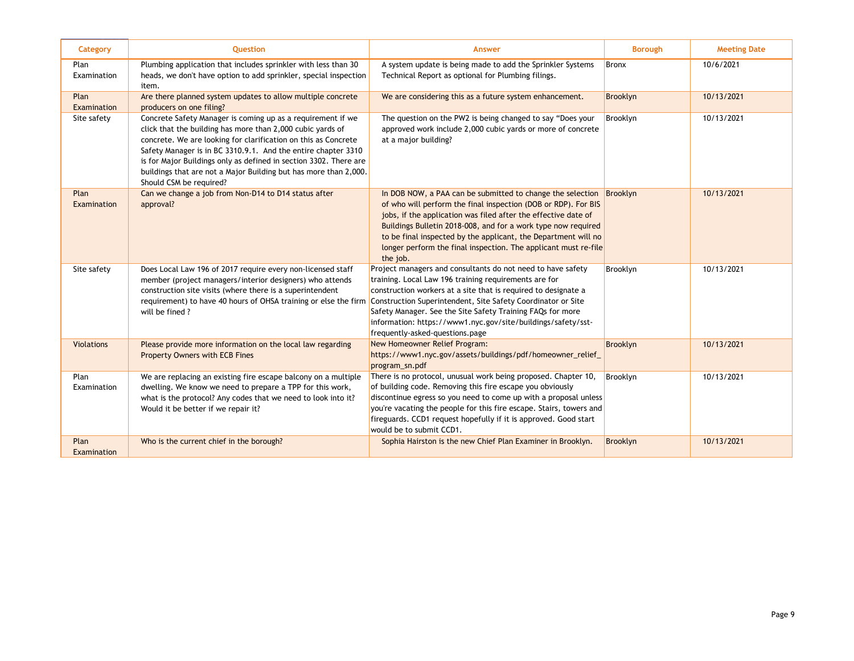| Category            | <b>Ouestion</b>                                                                                                                                                                                                                                                                                                                                                                                                                  | <b>Answer</b>                                                                                                                                                                                                                                                                                                                                                                                                                                  | <b>Borough</b> | <b>Meeting Date</b> |
|---------------------|----------------------------------------------------------------------------------------------------------------------------------------------------------------------------------------------------------------------------------------------------------------------------------------------------------------------------------------------------------------------------------------------------------------------------------|------------------------------------------------------------------------------------------------------------------------------------------------------------------------------------------------------------------------------------------------------------------------------------------------------------------------------------------------------------------------------------------------------------------------------------------------|----------------|---------------------|
| Plan<br>Examination | Plumbing application that includes sprinkler with less than 30<br>heads, we don't have option to add sprinkler, special inspection<br>item.                                                                                                                                                                                                                                                                                      | A system update is being made to add the Sprinkler Systems<br>Technical Report as optional for Plumbing filings.                                                                                                                                                                                                                                                                                                                               | <b>Bronx</b>   | 10/6/2021           |
| Plan<br>Examination | Are there planned system updates to allow multiple concrete<br>producers on one filing?                                                                                                                                                                                                                                                                                                                                          | We are considering this as a future system enhancement.                                                                                                                                                                                                                                                                                                                                                                                        | Brooklyn       | 10/13/2021          |
| Site safety         | Concrete Safety Manager is coming up as a requirement if we<br>click that the building has more than 2,000 cubic yards of<br>concrete. We are looking for clarification on this as Concrete<br>Safety Manager is in BC 3310.9.1. And the entire chapter 3310<br>is for Major Buildings only as defined in section 3302. There are<br>buildings that are not a Major Building but has more than 2,000.<br>Should CSM be required? | The question on the PW2 is being changed to say "Does your<br>approved work include 2,000 cubic yards or more of concrete<br>at a major building?                                                                                                                                                                                                                                                                                              | Brooklyn       | 10/13/2021          |
| Plan<br>Examination | Can we change a job from Non-D14 to D14 status after<br>approval?                                                                                                                                                                                                                                                                                                                                                                | In DOB NOW, a PAA can be submitted to change the selection $\sqrt{\frac{B}{2}}$ Brooklyn<br>of who will perform the final inspection (DOB or RDP). For BIS<br>jobs, if the application was filed after the effective date of<br>Buildings Bulletin 2018-008, and for a work type now required<br>to be final inspected by the applicant, the Department will no<br>longer perform the final inspection. The applicant must re-file<br>the job. |                | 10/13/2021          |
| Site safety         | Does Local Law 196 of 2017 require every non-licensed staff<br>member (project managers/interior designers) who attends<br>construction site visits (where there is a superintendent<br>requirement) to have 40 hours of OHSA training or else the firm<br>will be fined?                                                                                                                                                        | Project managers and consultants do not need to have safety<br>training. Local Law 196 training requirements are for<br>construction workers at a site that is required to designate a<br>Construction Superintendent, Site Safety Coordinator or Site<br>Safety Manager. See the Site Safety Training FAQs for more<br>information: https://www1.nyc.gov/site/buildings/safety/sst-<br>frequently-asked-questions.page                        | Brooklyn       | 10/13/2021          |
| <b>Violations</b>   | Please provide more information on the local law regarding<br><b>Property Owners with ECB Fines</b>                                                                                                                                                                                                                                                                                                                              | New Homeowner Relief Program:<br>https://www1.nyc.gov/assets/buildings/pdf/homeowner_relief_<br>program sn.pdf                                                                                                                                                                                                                                                                                                                                 | Brooklyn       | 10/13/2021          |
| Plan<br>Examination | We are replacing an existing fire escape balcony on a multiple<br>dwelling. We know we need to prepare a TPP for this work,<br>what is the protocol? Any codes that we need to look into it?<br>Would it be better if we repair it?                                                                                                                                                                                              | There is no protocol, unusual work being proposed. Chapter 10,<br>of building code. Removing this fire escape you obviously<br>discontinue egress so you need to come up with a proposal unless<br>you're vacating the people for this fire escape. Stairs, towers and<br>fireguards. CCD1 request hopefully if it is approved. Good start<br>would be to submit CCD1.                                                                         | Brooklyn       | 10/13/2021          |
| Plan<br>Examination | Who is the current chief in the borough?                                                                                                                                                                                                                                                                                                                                                                                         | Sophia Hairston is the new Chief Plan Examiner in Brooklyn.                                                                                                                                                                                                                                                                                                                                                                                    | Brooklyn       | 10/13/2021          |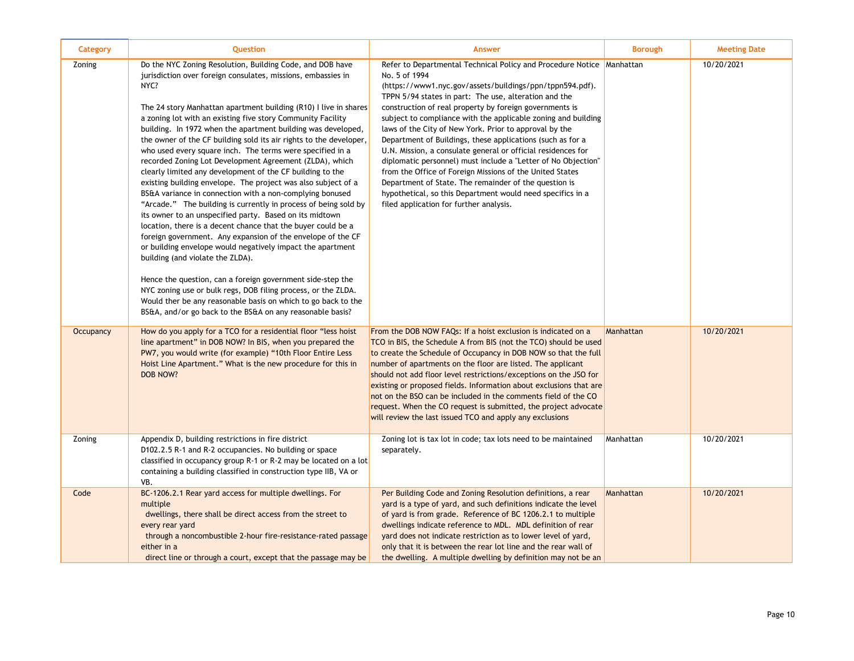| <b>Category</b>  | <b>Question</b>                                                                                                                                                                                                                                                                                                                                                                                                                                                                                                                                                                                                                                                                                                                                                                                                                                                                                                                                                                                                                                                                                                                                                                                                                                                                                                                                          | <b>Answer</b>                                                                                                                                                                                                                                                                                                                                                                                                                                                                                                                                                                                                                                                                                                                                                                                                                  | <b>Borough</b> | <b>Meeting Date</b> |
|------------------|----------------------------------------------------------------------------------------------------------------------------------------------------------------------------------------------------------------------------------------------------------------------------------------------------------------------------------------------------------------------------------------------------------------------------------------------------------------------------------------------------------------------------------------------------------------------------------------------------------------------------------------------------------------------------------------------------------------------------------------------------------------------------------------------------------------------------------------------------------------------------------------------------------------------------------------------------------------------------------------------------------------------------------------------------------------------------------------------------------------------------------------------------------------------------------------------------------------------------------------------------------------------------------------------------------------------------------------------------------|--------------------------------------------------------------------------------------------------------------------------------------------------------------------------------------------------------------------------------------------------------------------------------------------------------------------------------------------------------------------------------------------------------------------------------------------------------------------------------------------------------------------------------------------------------------------------------------------------------------------------------------------------------------------------------------------------------------------------------------------------------------------------------------------------------------------------------|----------------|---------------------|
| Zoning           | Do the NYC Zoning Resolution, Building Code, and DOB have<br>jurisdiction over foreign consulates, missions, embassies in<br>NYC?<br>The 24 story Manhattan apartment building (R10) I live in shares<br>a zoning lot with an existing five story Community Facility<br>building. In 1972 when the apartment building was developed,<br>the owner of the CF building sold its air rights to the developer,<br>who used every square inch. The terms were specified in a<br>recorded Zoning Lot Development Agreement (ZLDA), which<br>clearly limited any development of the CF building to the<br>existing building envelope. The project was also subject of a<br>BS&A variance in connection with a non-complying bonused<br>"Arcade." The building is currently in process of being sold by<br>its owner to an unspecified party. Based on its midtown<br>location, there is a decent chance that the buyer could be a<br>foreign government. Any expansion of the envelope of the CF<br>or building envelope would negatively impact the apartment<br>building (and violate the ZLDA).<br>Hence the question, can a foreign government side-step the<br>NYC zoning use or bulk regs, DOB filing process, or the ZLDA.<br>Would ther be any reasonable basis on which to go back to the<br>BS&A, and/or go back to the BS&A on any reasonable basis? | Refer to Departmental Technical Policy and Procedure Notice Manhattan<br>No. 5 of 1994<br>(https://www1.nyc.gov/assets/buildings/ppn/tppn594.pdf).<br>TPPN 5/94 states in part: The use, alteration and the<br>construction of real property by foreign governments is<br>subject to compliance with the applicable zoning and building<br>laws of the City of New York. Prior to approval by the<br>Department of Buildings, these applications (such as for a<br>U.N. Mission, a consulate general or official residences for<br>diplomatic personnel) must include a "Letter of No Objection"<br>from the Office of Foreign Missions of the United States<br>Department of State. The remainder of the question is<br>hypothetical, so this Department would need specifics in a<br>filed application for further analysis. |                | 10/20/2021          |
| <b>Occupancy</b> | How do you apply for a TCO for a residential floor "less hoist<br>line apartment" in DOB NOW? In BIS, when you prepared the<br>PW7, you would write (for example) "10th Floor Entire Less<br>Hoist Line Apartment." What is the new procedure for this in<br>DOB NOW?                                                                                                                                                                                                                                                                                                                                                                                                                                                                                                                                                                                                                                                                                                                                                                                                                                                                                                                                                                                                                                                                                    | From the DOB NOW FAQs: If a hoist exclusion is indicated on a<br>TCO in BIS, the Schedule A from BIS (not the TCO) should be used<br>to create the Schedule of Occupancy in DOB NOW so that the full<br>number of apartments on the floor are listed. The applicant<br>should not add floor level restrictions/exceptions on the JSO for<br>existing or proposed fields. Information about exclusions that are<br>not on the BSO can be included in the comments field of the CO<br>request. When the CO request is submitted, the project advocate<br>will review the last issued TCO and apply any exclusions                                                                                                                                                                                                                | Manhattan      | 10/20/2021          |
| Zoning           | Appendix D, building restrictions in fire district<br>D102.2.5 R-1 and R-2 occupancies. No building or space<br>classified in occupancy group R-1 or R-2 may be located on a lot<br>containing a building classified in construction type IIB, VA or<br>VB.                                                                                                                                                                                                                                                                                                                                                                                                                                                                                                                                                                                                                                                                                                                                                                                                                                                                                                                                                                                                                                                                                              | Zoning lot is tax lot in code; tax lots need to be maintained<br>separately.                                                                                                                                                                                                                                                                                                                                                                                                                                                                                                                                                                                                                                                                                                                                                   | Manhattan      | 10/20/2021          |
| Code             | BC-1206.2.1 Rear yard access for multiple dwellings. For<br>multiple<br>dwellings, there shall be direct access from the street to<br>every rear yard<br>through a noncombustible 2-hour fire-resistance-rated passage<br>either in a<br>direct line or through a court, except that the passage may be                                                                                                                                                                                                                                                                                                                                                                                                                                                                                                                                                                                                                                                                                                                                                                                                                                                                                                                                                                                                                                                  | Per Building Code and Zoning Resolution definitions, a rear<br>yard is a type of yard, and such definitions indicate the level<br>of yard is from grade. Reference of BC 1206.2.1 to multiple<br>dwellings indicate reference to MDL. MDL definition of rear<br>yard does not indicate restriction as to lower level of yard,<br>only that it is between the rear lot line and the rear wall of<br>the dwelling. A multiple dwelling by definition may not be an                                                                                                                                                                                                                                                                                                                                                               | Manhattan      | 10/20/2021          |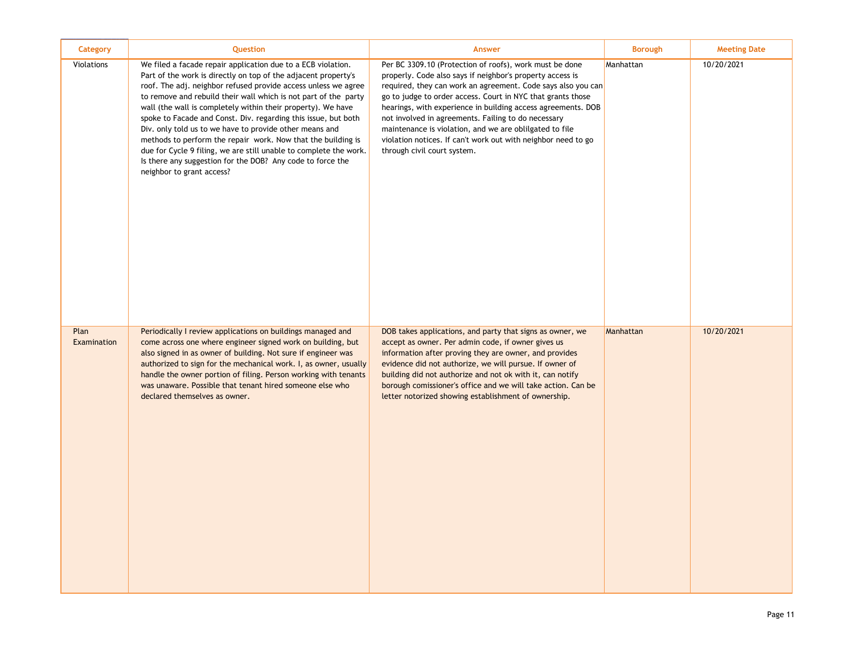| Category            | Question                                                                                                                                                                                                                                                                                                                                                                                                                                                                                                                                                                                                                                                                                         | <b>Answer</b>                                                                                                                                                                                                                                                                                                                                                                                                                                                                                                                         | <b>Borough</b> | <b>Meeting Date</b> |
|---------------------|--------------------------------------------------------------------------------------------------------------------------------------------------------------------------------------------------------------------------------------------------------------------------------------------------------------------------------------------------------------------------------------------------------------------------------------------------------------------------------------------------------------------------------------------------------------------------------------------------------------------------------------------------------------------------------------------------|---------------------------------------------------------------------------------------------------------------------------------------------------------------------------------------------------------------------------------------------------------------------------------------------------------------------------------------------------------------------------------------------------------------------------------------------------------------------------------------------------------------------------------------|----------------|---------------------|
| Violations          | We filed a facade repair application due to a ECB violation.<br>Part of the work is directly on top of the adjacent property's<br>roof. The adj. neighbor refused provide access unless we agree<br>to remove and rebuild their wall which is not part of the party<br>wall (the wall is completely within their property). We have<br>spoke to Facade and Const. Div. regarding this issue, but both<br>Div. only told us to we have to provide other means and<br>methods to perform the repair work. Now that the building is<br>due for Cycle 9 filing, we are still unable to complete the work.<br>Is there any suggestion for the DOB? Any code to force the<br>neighbor to grant access? | Per BC 3309.10 (Protection of roofs), work must be done<br>properly. Code also says if neighbor's property access is<br>required, they can work an agreement. Code says also you can<br>go to judge to order access. Court in NYC that grants those<br>hearings, with experience in building access agreements. DOB<br>not involved in agreements. Failing to do necessary<br>maintenance is violation, and we are oblilgated to file<br>violation notices. If can't work out with neighbor need to go<br>through civil court system. | Manhattan      | 10/20/2021          |
| Plan<br>Examination | Periodically I review applications on buildings managed and<br>come across one where engineer signed work on building, but<br>also signed in as owner of building. Not sure if engineer was<br>authorized to sign for the mechanical work. I, as owner, usually<br>handle the owner portion of filing. Person working with tenants<br>was unaware. Possible that tenant hired someone else who<br>declared themselves as owner.                                                                                                                                                                                                                                                                  | DOB takes applications, and party that signs as owner, we<br>accept as owner. Per admin code, if owner gives us<br>information after proving they are owner, and provides<br>evidence did not authorize, we will pursue. If owner of<br>building did not authorize and not ok with it, can notify<br>borough comissioner's office and we will take action. Can be<br>letter notorized showing establishment of ownership.                                                                                                             | Manhattan      | 10/20/2021          |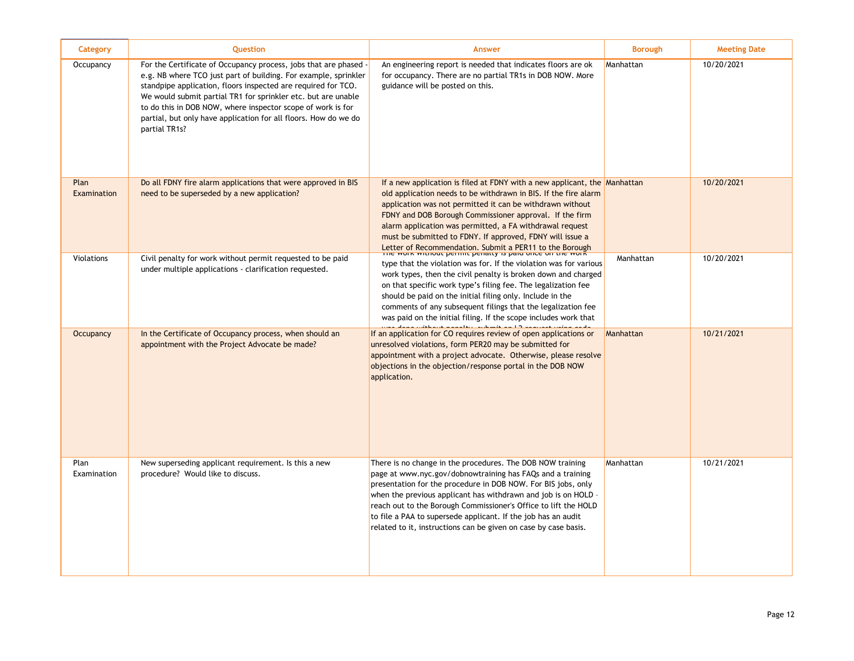| Category            | <b>Question</b>                                                                                                                                                                                                                                                                                                                                                                                                        | <b>Answer</b>                                                                                                                                                                                                                                                                                                                                                                                                                                                                                                     | <b>Borough</b> | <b>Meeting Date</b> |
|---------------------|------------------------------------------------------------------------------------------------------------------------------------------------------------------------------------------------------------------------------------------------------------------------------------------------------------------------------------------------------------------------------------------------------------------------|-------------------------------------------------------------------------------------------------------------------------------------------------------------------------------------------------------------------------------------------------------------------------------------------------------------------------------------------------------------------------------------------------------------------------------------------------------------------------------------------------------------------|----------------|---------------------|
| Occupancy           | For the Certificate of Occupancy process, jobs that are phased<br>e.g. NB where TCO just part of building. For example, sprinkler<br>standpipe application, floors inspected are required for TCO.<br>We would submit partial TR1 for sprinkler etc. but are unable<br>to do this in DOB NOW, where inspector scope of work is for<br>partial, but only have application for all floors. How do we do<br>partial TR1s? | An engineering report is needed that indicates floors are ok<br>for occupancy. There are no partial TR1s in DOB NOW. More<br>guidance will be posted on this.                                                                                                                                                                                                                                                                                                                                                     | Manhattan      | 10/20/2021          |
| Plan<br>Examination | Do all FDNY fire alarm applications that were approved in BIS<br>need to be superseded by a new application?                                                                                                                                                                                                                                                                                                           | If a new application is filed at FDNY with a new applicant, the Manhattan<br>old application needs to be withdrawn in BIS. If the fire alarm<br>application was not permitted it can be withdrawn without<br>FDNY and DOB Borough Commissioner approval. If the firm<br>alarm application was permitted, a FA withdrawal request<br>must be submitted to FDNY. If approved, FDNY will issue a<br>Letter of Recommendation. Submit a PER11 to the Borough The work without permit permany is paid once on the work |                | 10/20/2021          |
| Violations          | Civil penalty for work without permit requested to be paid<br>under multiple applications - clarification requested.                                                                                                                                                                                                                                                                                                   | type that the violation was for. If the violation was for various<br>work types, then the civil penalty is broken down and charged<br>on that specific work type's filing fee. The legalization fee<br>should be paid on the initial filing only. Include in the<br>comments of any subsequent filings that the legalization fee<br>was paid on the initial filing. If the scope includes work that                                                                                                               | Manhattan      | 10/20/2021          |
| Occupancy           | In the Certificate of Occupancy process, when should an<br>appointment with the Project Advocate be made?                                                                                                                                                                                                                                                                                                              | If an application for CO requires review of open applications or<br>unresolved violations, form PER20 may be submitted for<br>appointment with a project advocate. Otherwise, please resolve<br>objections in the objection/response portal in the DOB NOW<br>application.                                                                                                                                                                                                                                        | Manhattan      | 10/21/2021          |
| Plan<br>Examination | New superseding applicant requirement. Is this a new<br>procedure? Would like to discuss.                                                                                                                                                                                                                                                                                                                              | There is no change in the procedures. The DOB NOW training<br>page at www.nyc.gov/dobnowtraining has FAQs and a training<br>presentation for the procedure in DOB NOW. For BIS jobs, only<br>when the previous applicant has withdrawn and job is on HOLD -<br>reach out to the Borough Commissioner's Office to lift the HOLD<br>to file a PAA to supersede applicant. If the job has an audit<br>related to it, instructions can be given on case by case basis.                                                | Manhattan      | 10/21/2021          |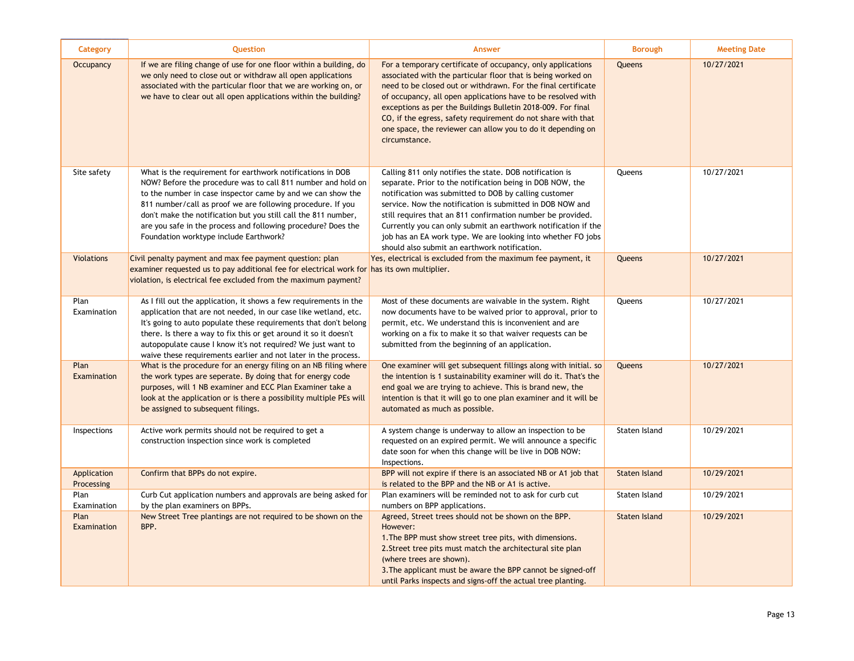| Category                  | Question                                                                                                                                                                                                                                                                                                                                                                                                                              | <b>Answer</b>                                                                                                                                                                                                                                                                                                                                                                                                                                                                                 | <b>Borough</b>       | <b>Meeting Date</b> |
|---------------------------|---------------------------------------------------------------------------------------------------------------------------------------------------------------------------------------------------------------------------------------------------------------------------------------------------------------------------------------------------------------------------------------------------------------------------------------|-----------------------------------------------------------------------------------------------------------------------------------------------------------------------------------------------------------------------------------------------------------------------------------------------------------------------------------------------------------------------------------------------------------------------------------------------------------------------------------------------|----------------------|---------------------|
| <b>Occupancy</b>          | If we are filing change of use for one floor within a building, do<br>we only need to close out or withdraw all open applications<br>associated with the particular floor that we are working on, or<br>we have to clear out all open applications within the building?                                                                                                                                                               | For a temporary certificate of occupancy, only applications<br>associated with the particular floor that is being worked on<br>need to be closed out or withdrawn. For the final certificate<br>of occupancy, all open applications have to be resolved with<br>exceptions as per the Buildings Bulletin 2018-009. For final<br>CO, if the egress, safety requirement do not share with that<br>one space, the reviewer can allow you to do it depending on<br>circumstance.                  | Queens               | 10/27/2021          |
| Site safety               | What is the requirement for earthwork notifications in DOB<br>NOW? Before the procedure was to call 811 number and hold on<br>to the number in case inspector came by and we can show the<br>811 number/call as proof we are following procedure. If you<br>don't make the notification but you still call the 811 number,<br>are you safe in the process and following procedure? Does the<br>Foundation worktype include Earthwork? | Calling 811 only notifies the state. DOB notification is<br>separate. Prior to the notification being in DOB NOW, the<br>notification was submitted to DOB by calling customer<br>service. Now the notification is submitted in DOB NOW and<br>still requires that an 811 confirmation number be provided.<br>Currently you can only submit an earthwork notification if the<br>job has an EA work type. We are looking into whether FO jobs<br>should also submit an earthwork notification. | Queens               | 10/27/2021          |
| <b>Violations</b>         | Civil penalty payment and max fee payment question: plan<br>examiner requested us to pay additional fee for electrical work for has its own multiplier.<br>violation, is electrical fee excluded from the maximum payment?                                                                                                                                                                                                            | Yes, electrical is excluded from the maximum fee payment, it                                                                                                                                                                                                                                                                                                                                                                                                                                  | Queens               | 10/27/2021          |
| Plan<br>Examination       | As I fill out the application, it shows a few requirements in the<br>application that are not needed, in our case like wetland, etc.<br>It's going to auto populate these requirements that don't belong<br>there. Is there a way to fix this or get around it so it doesn't<br>autopopulate cause I know it's not required? We just want to<br>waive these requirements earlier and not later in the process.                        | Most of these documents are waivable in the system. Right<br>now documents have to be waived prior to approval, prior to<br>permit, etc. We understand this is inconvenient and are<br>working on a fix to make it so that waiver requests can be<br>submitted from the beginning of an application.                                                                                                                                                                                          | Queens               | 10/27/2021          |
| Plan<br>Examination       | What is the procedure for an energy filing on an NB filing where<br>the work types are seperate. By doing that for energy code<br>purposes, will 1 NB examiner and ECC Plan Examiner take a<br>look at the application or is there a possibility multiple PEs will<br>be assigned to subsequent filings.                                                                                                                              | One examiner will get subsequent fillings along with initial, so<br>the intention is 1 sustainability examiner will do it. That's the<br>end goal we are trying to achieve. This is brand new, the<br>intention is that it will go to one plan examiner and it will be<br>automated as much as possible.                                                                                                                                                                                      | Queens               | 10/27/2021          |
| Inspections               | Active work permits should not be required to get a<br>construction inspection since work is completed                                                                                                                                                                                                                                                                                                                                | A system change is underway to allow an inspection to be<br>requested on an expired permit. We will announce a specific<br>date soon for when this change will be live in DOB NOW:<br>Inspections.                                                                                                                                                                                                                                                                                            | Staten Island        | 10/29/2021          |
| Application<br>Processing | Confirm that BPPs do not expire.                                                                                                                                                                                                                                                                                                                                                                                                      | BPP will not expire if there is an associated NB or A1 job that<br>is related to the BPP and the NB or A1 is active.                                                                                                                                                                                                                                                                                                                                                                          | <b>Staten Island</b> | 10/29/2021          |
| Plan<br>Examination       | Curb Cut application numbers and approvals are being asked for<br>by the plan examiners on BPPs.                                                                                                                                                                                                                                                                                                                                      | Plan examiners will be reminded not to ask for curb cut<br>numbers on BPP applications.                                                                                                                                                                                                                                                                                                                                                                                                       | Staten Island        | 10/29/2021          |
| Plan<br>Examination       | New Street Tree plantings are not required to be shown on the<br>BPP.                                                                                                                                                                                                                                                                                                                                                                 | Agreed, Street trees should not be shown on the BPP.<br>However:<br>1. The BPP must show street tree pits, with dimensions.<br>2. Street tree pits must match the architectural site plan<br>(where trees are shown).<br>3. The applicant must be aware the BPP cannot be signed-off<br>until Parks inspects and signs-off the actual tree planting.                                                                                                                                          | <b>Staten Island</b> | 10/29/2021          |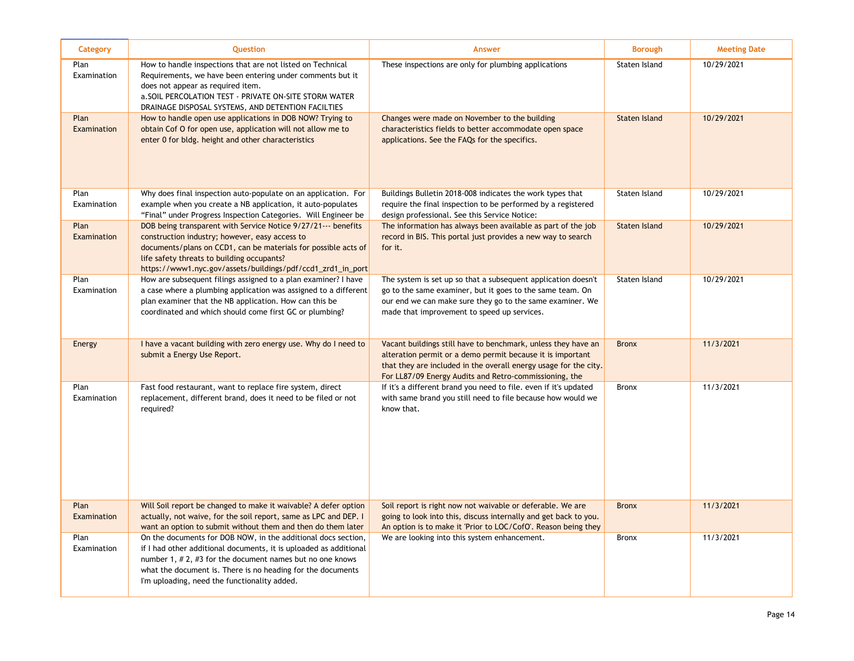| Category            | <b>Question</b>                                                                                                                                                                                                                                                                                                      | Answer                                                                                                                                                                                                                                                    | <b>Borough</b>       | <b>Meeting Date</b> |
|---------------------|----------------------------------------------------------------------------------------------------------------------------------------------------------------------------------------------------------------------------------------------------------------------------------------------------------------------|-----------------------------------------------------------------------------------------------------------------------------------------------------------------------------------------------------------------------------------------------------------|----------------------|---------------------|
| Plan<br>Examination | How to handle inspections that are not listed on Technical<br>Requirements, we have been entering under comments but it<br>does not appear as required item.<br>a. SOIL PERCOLATION TEST - PRIVATE ON-SITE STORM WATER<br>DRAINAGE DISPOSAL SYSTEMS, AND DETENTION FACILTIES                                         | These inspections are only for plumbing applications                                                                                                                                                                                                      | Staten Island        | 10/29/2021          |
| Plan<br>Examination | How to handle open use applications in DOB NOW? Trying to<br>obtain Cof O for open use, application will not allow me to<br>enter 0 for bldg. height and other characteristics                                                                                                                                       | Changes were made on November to the building<br>characteristics fields to better accommodate open space<br>applications. See the FAQs for the specifics.                                                                                                 | <b>Staten Island</b> | 10/29/2021          |
| Plan<br>Examination | Why does final inspection auto-populate on an application. For<br>example when you create a NB application, it auto-populates<br>"Final" under Progress Inspection Categories. Will Engineer be                                                                                                                      | Buildings Bulletin 2018-008 indicates the work types that<br>require the final inspection to be performed by a registered<br>design professional. See this Service Notice:                                                                                | Staten Island        | 10/29/2021          |
| Plan<br>Examination | DOB being transparent with Service Notice 9/27/21--- benefits<br>construction industry; however, easy access to<br>documents/plans on CCD1, can be materials for possible acts of<br>life safety threats to building occupants?<br>https://www1.nyc.gov/assets/buildings/pdf/ccd1_zrd1_in_port                       | The information has always been available as part of the job<br>record in BIS. This portal just provides a new way to search<br>for it.                                                                                                                   | Staten Island        | 10/29/2021          |
| Plan<br>Examination | How are subsequent filings assigned to a plan examiner? I have<br>a case where a plumbing application was assigned to a different<br>plan examiner that the NB application. How can this be<br>coordinated and which should come first GC or plumbing?                                                               | The system is set up so that a subsequent application doesn't<br>go to the same examiner, but it goes to the same team. On<br>our end we can make sure they go to the same examiner. We<br>made that improvement to speed up services.                    | Staten Island        | 10/29/2021          |
| Energy              | I have a vacant building with zero energy use. Why do I need to<br>submit a Energy Use Report.                                                                                                                                                                                                                       | Vacant buildings still have to benchmark, unless they have an<br>alteration permit or a demo permit because it is important<br>that they are included in the overall energy usage for the city.<br>For LL87/09 Energy Audits and Retro-commissioning, the | <b>Bronx</b>         | 11/3/2021           |
| Plan<br>Examination | Fast food restaurant, want to replace fire system, direct<br>replacement, different brand, does it need to be filed or not<br>required?                                                                                                                                                                              | If it's a different brand you need to file. even if it's updated<br>with same brand you still need to file because how would we<br>know that.                                                                                                             | <b>Bronx</b>         | 11/3/2021           |
| Plan<br>Examination | Will Soil report be changed to make it waivable? A defer option<br>actually, not waive, for the soil report, same as LPC and DEP. I<br>want an option to submit without them and then do them later                                                                                                                  | Soil report is right now not waivable or deferable. We are<br>going to look into this, discuss internally and get back to you.<br>An option is to make it 'Prior to LOC/CofO'. Reason being they                                                          | <b>Bronx</b>         | 11/3/2021           |
| Plan<br>Examination | On the documents for DOB NOW, in the additional docs section,<br>if I had other additional documents, it is uploaded as additional<br>number 1, $# 2$ , $# 3$ for the document names but no one knows<br>what the document is. There is no heading for the documents<br>I'm uploading, need the functionality added. | We are looking into this system enhancement.                                                                                                                                                                                                              | <b>Bronx</b>         | 11/3/2021           |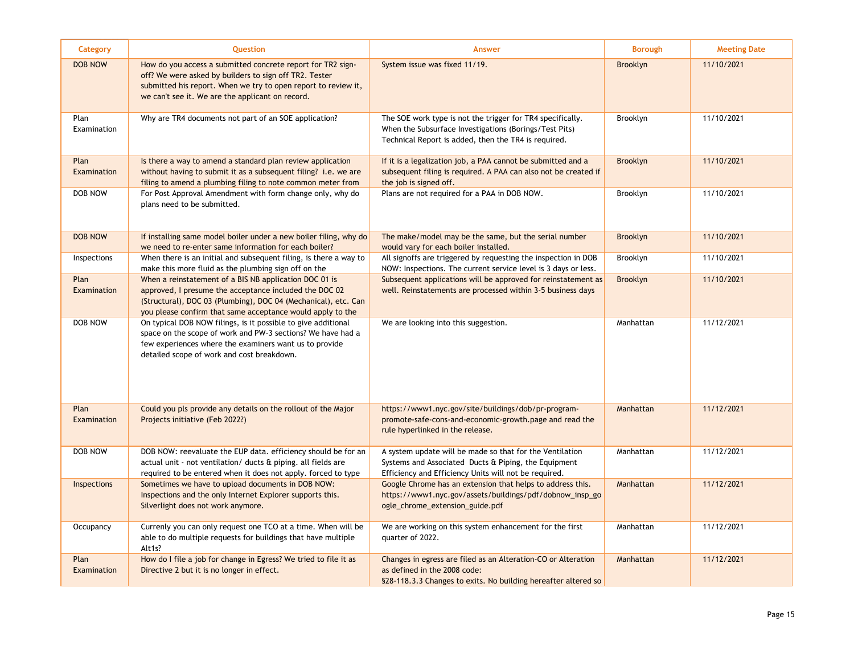| Category            | <b>Ouestion</b>                                                                                                                                                                                                                                  | Answer                                                                                                                                                                       | <b>Borough</b>  | <b>Meeting Date</b> |
|---------------------|--------------------------------------------------------------------------------------------------------------------------------------------------------------------------------------------------------------------------------------------------|------------------------------------------------------------------------------------------------------------------------------------------------------------------------------|-----------------|---------------------|
| <b>DOB NOW</b>      | How do you access a submitted concrete report for TR2 sign-<br>off? We were asked by builders to sign off TR2. Tester<br>submitted his report. When we try to open report to review it,<br>we can't see it. We are the applicant on record.      | System issue was fixed 11/19.                                                                                                                                                | <b>Brooklyn</b> | 11/10/2021          |
| Plan<br>Examination | Why are TR4 documents not part of an SOE application?                                                                                                                                                                                            | The SOE work type is not the trigger for TR4 specifically.<br>When the Subsurface Investigations (Borings/Test Pits)<br>Technical Report is added, then the TR4 is required. | Brooklyn        | 11/10/2021          |
| Plan<br>Examination | Is there a way to amend a standard plan review application<br>without having to submit it as a subsequent filing? i.e. we are<br>filing to amend a plumbing filing to note common meter from                                                     | If it is a legalization job, a PAA cannot be submitted and a<br>subsequent filing is required. A PAA can also not be created if<br>the job is signed off.                    | <b>Brooklyn</b> | 11/10/2021          |
| DOB NOW             | For Post Approval Amendment with form change only, why do<br>plans need to be submitted.                                                                                                                                                         | Plans are not required for a PAA in DOB NOW.                                                                                                                                 | Brooklyn        | 11/10/2021          |
| <b>DOB NOW</b>      | If installing same model boiler under a new boiler filing, why do<br>we need to re-enter same information for each boiler?                                                                                                                       | The make/model may be the same, but the serial number<br>would vary for each boiler installed.                                                                               | <b>Brooklyn</b> | 11/10/2021          |
| Inspections         | When there is an initial and subsequent filing, is there a way to<br>make this more fluid as the plumbing sign off on the                                                                                                                        | All signoffs are triggered by requesting the inspection in DOB<br>NOW: Inspections. The current service level is 3 days or less.                                             | Brooklyn        | 11/10/2021          |
| Plan<br>Examination | When a reinstatement of a BIS NB application DOC 01 is<br>approved, I presume the acceptance included the DOC 02<br>(Structural), DOC 03 (Plumbing), DOC 04 (Mechanical), etc. Can<br>you please confirm that same acceptance would apply to the | Subsequent applications will be approved for reinstatement as<br>well. Reinstatements are processed within 3-5 business days                                                 | <b>Brooklyn</b> | 11/10/2021          |
| <b>DOB NOW</b>      | On typical DOB NOW filings, is it possible to give additional<br>space on the scope of work and PW-3 sections? We have had a<br>few experiences where the examiners want us to provide<br>detailed scope of work and cost breakdown.             | We are looking into this suggestion.                                                                                                                                         | Manhattan       | 11/12/2021          |
| Plan<br>Examination | Could you pls provide any details on the rollout of the Major<br>Projects initiative (Feb 2022?)                                                                                                                                                 | https://www1.nyc.gov/site/buildings/dob/pr-program-<br>promote-safe-cons-and-economic-growth.page and read the<br>rule hyperlinked in the release.                           | Manhattan       | 11/12/2021          |
| DOB NOW             | DOB NOW: reevaluate the EUP data. efficiency should be for an<br>actual unit - not ventilation/ ducts & piping. all fields are<br>required to be entered when it does not apply. forced to type                                                  | A system update will be made so that for the Ventilation<br>Systems and Associated Ducts & Piping, the Equipment<br>Efficiency and Efficiency Units will not be required.    | Manhattan       | 11/12/2021          |
| Inspections         | Sometimes we have to upload documents in DOB NOW:<br>Inspections and the only Internet Explorer supports this.<br>Silverlight does not work anymore.                                                                                             | Google Chrome has an extension that helps to address this.<br>https://www1.nyc.gov/assets/buildings/pdf/dobnow_insp_go<br>ogle_chrome_extension_guide.pdf                    | Manhattan       | 11/12/2021          |
| Occupancy           | Currenly you can only request one TCO at a time. When will be<br>able to do multiple requests for buildings that have multiple<br>Alt1s?                                                                                                         | We are working on this system enhancement for the first<br>quarter of 2022.                                                                                                  | Manhattan       | 11/12/2021          |
| Plan<br>Examination | How do I file a job for change in Egress? We tried to file it as<br>Directive 2 but it is no longer in effect.                                                                                                                                   | Changes in egress are filed as an Alteration-CO or Alteration<br>as defined in the 2008 code:<br>\$28-118.3.3 Changes to exits. No building hereafter altered so             | Manhattan       | 11/12/2021          |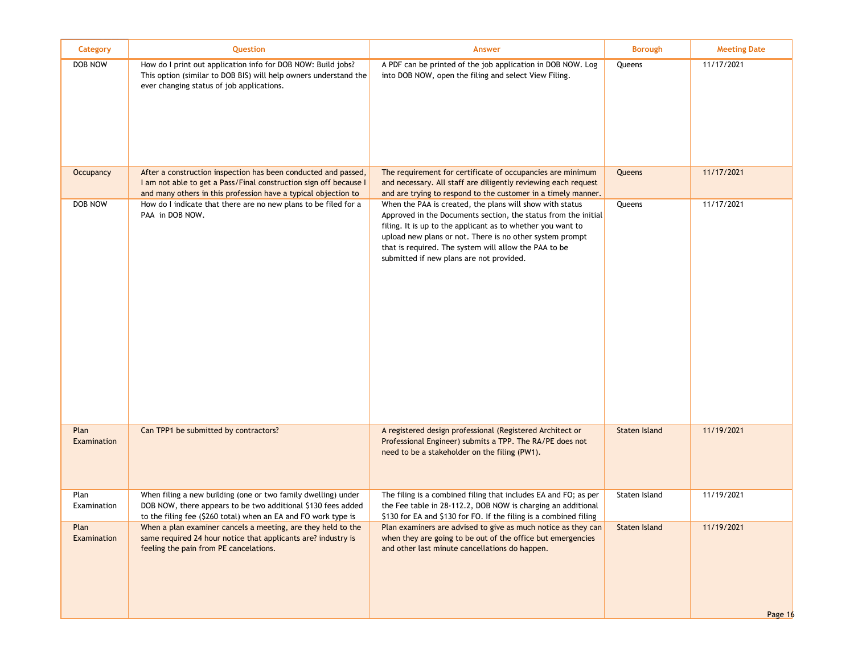| Category            | Question                                                                                                                                                                                              | <b>Answer</b>                                                                                                                                                                                                                                                                                                                                              | <b>Borough</b>       | <b>Meeting Date</b>   |
|---------------------|-------------------------------------------------------------------------------------------------------------------------------------------------------------------------------------------------------|------------------------------------------------------------------------------------------------------------------------------------------------------------------------------------------------------------------------------------------------------------------------------------------------------------------------------------------------------------|----------------------|-----------------------|
| DOB NOW             | How do I print out application info for DOB NOW: Build jobs?<br>This option (similar to DOB BIS) will help owners understand the<br>ever changing status of job applications.                         | A PDF can be printed of the job application in DOB NOW. Log<br>into DOB NOW, open the filing and select View Filing.                                                                                                                                                                                                                                       | Queens               | 11/17/2021            |
| Occupancy           | After a construction inspection has been conducted and passed,<br>I am not able to get a Pass/Final construction sign off because I<br>and many others in this profession have a typical objection to | The requirement for certificate of occupancies are minimum<br>and necessary. All staff are diligently reviewing each request<br>and are trying to respond to the customer in a timely manner.                                                                                                                                                              | Queens               | 11/17/2021            |
| DOB NOW             | How do I indicate that there are no new plans to be filed for a<br>PAA in DOB NOW.                                                                                                                    | When the PAA is created, the plans will show with status<br>Approved in the Documents section, the status from the initial<br>filing. It is up to the applicant as to whether you want to<br>upload new plans or not. There is no other system prompt<br>that is required. The system will allow the PAA to be<br>submitted if new plans are not provided. | Queens               | 11/17/2021            |
| Plan<br>Examination | Can TPP1 be submitted by contractors?                                                                                                                                                                 | A registered design professional (Registered Architect or<br>Professional Engineer) submits a TPP. The RA/PE does not<br>need to be a stakeholder on the filing (PW1).                                                                                                                                                                                     | <b>Staten Island</b> | 11/19/2021            |
| Plan<br>Examination | When filing a new building (one or two family dwelling) under<br>DOB NOW, there appears to be two additional \$130 fees added<br>to the filing fee (\$260 total) when an EA and FO work type is       | The filing is a combined filing that includes EA and FO; as per<br>the Fee table in 28-112.2, DOB NOW is charging an additional<br>\$130 for EA and \$130 for FO. If the filing is a combined filing                                                                                                                                                       | Staten Island        | 11/19/2021            |
| Plan<br>Examination | When a plan examiner cancels a meeting, are they held to the<br>same required 24 hour notice that applicants are? industry is<br>feeling the pain from PE cancelations.                               | Plan examiners are advised to give as much notice as they can<br>when they are going to be out of the office but emergencies<br>and other last minute cancellations do happen.                                                                                                                                                                             | Staten Island        | 11/19/2021<br>Page 16 |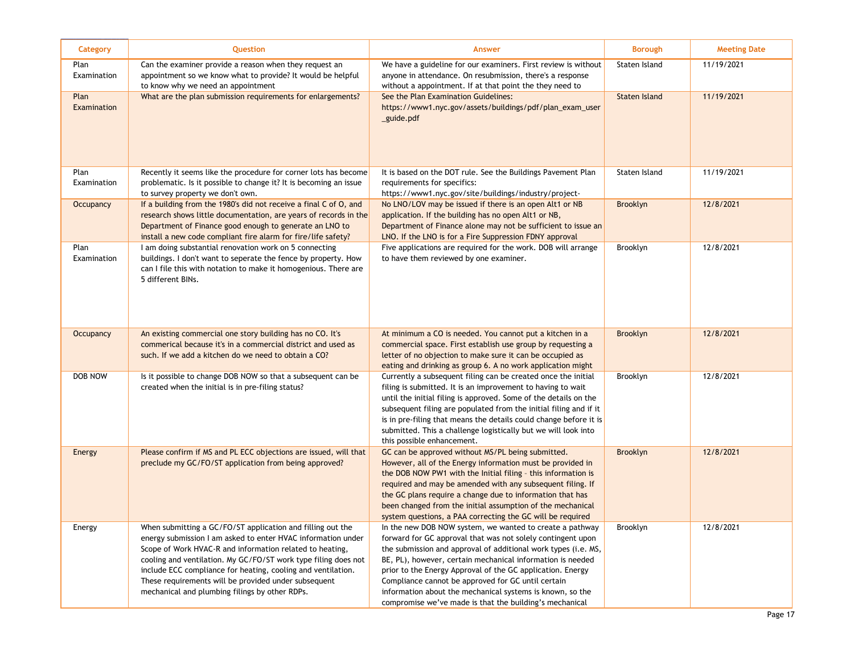| Category            | Question                                                                                                                                                                                                                                                                                                                                                                                                                           | Answer                                                                                                                                                                                                                                                                                                                                                                                                                                                                                              | <b>Borough</b>  | <b>Meeting Date</b> |
|---------------------|------------------------------------------------------------------------------------------------------------------------------------------------------------------------------------------------------------------------------------------------------------------------------------------------------------------------------------------------------------------------------------------------------------------------------------|-----------------------------------------------------------------------------------------------------------------------------------------------------------------------------------------------------------------------------------------------------------------------------------------------------------------------------------------------------------------------------------------------------------------------------------------------------------------------------------------------------|-----------------|---------------------|
| Plan<br>Examination | Can the examiner provide a reason when they request an<br>appointment so we know what to provide? It would be helpful<br>to know why we need an appointment                                                                                                                                                                                                                                                                        | We have a guideline for our examiners. First review is without<br>anyone in attendance. On resubmission, there's a response<br>without a appointment. If at that point the they need to                                                                                                                                                                                                                                                                                                             | Staten Island   | 11/19/2021          |
| Plan<br>Examination | What are the plan submission requirements for enlargements?                                                                                                                                                                                                                                                                                                                                                                        | See the Plan Examination Guidelines:<br>https://www1.nyc.gov/assets/buildings/pdf/plan_exam_user<br>_guide.pdf                                                                                                                                                                                                                                                                                                                                                                                      | Staten Island   | 11/19/2021          |
| Plan<br>Examination | Recently it seems like the procedure for corner lots has become<br>problematic. Is it possible to change it? It is becoming an issue<br>to survey property we don't own.                                                                                                                                                                                                                                                           | It is based on the DOT rule. See the Buildings Pavement Plan<br>requirements for specifics:<br>https://www1.nyc.gov/site/buildings/industry/project-                                                                                                                                                                                                                                                                                                                                                | Staten Island   | 11/19/2021          |
| Occupancy           | If a building from the 1980's did not receive a final C of O, and<br>research shows little documentation, are years of records in the<br>Department of Finance good enough to generate an LNO to<br>install a new code compliant fire alarm for fire/life safety?                                                                                                                                                                  | No LNO/LOV may be issued if there is an open Alt1 or NB<br>application. If the building has no open Alt1 or NB,<br>Department of Finance alone may not be sufficient to issue an<br>LNO. If the LNO is for a Fire Suppression FDNY approval                                                                                                                                                                                                                                                         | <b>Brooklyn</b> | 12/8/2021           |
| Plan<br>Examination | I am doing substantial renovation work on 5 connecting<br>buildings. I don't want to seperate the fence by property. How<br>can I file this with notation to make it homogenious. There are<br>5 different BINs.                                                                                                                                                                                                                   | Five applications are required for the work. DOB will arrange<br>to have them reviewed by one examiner.                                                                                                                                                                                                                                                                                                                                                                                             | Brooklyn        | 12/8/2021           |
| Occupancy           | An existing commercial one story building has no CO. It's<br>commerical because it's in a commercial district and used as<br>such. If we add a kitchen do we need to obtain a CO?                                                                                                                                                                                                                                                  | At minimum a CO is needed. You cannot put a kitchen in a<br>commercial space. First establish use group by requesting a<br>letter of no objection to make sure it can be occupied as<br>eating and drinking as group 6. A no work application might                                                                                                                                                                                                                                                 | <b>Brooklyn</b> | 12/8/2021           |
| DOB NOW             | Is it possible to change DOB NOW so that a subsequent can be<br>created when the initial is in pre-filing status?                                                                                                                                                                                                                                                                                                                  | Currently a subsequent filing can be created once the initial<br>filing is submitted. It is an improvement to having to wait<br>until the initial filing is approved. Some of the details on the<br>subsequent filing are populated from the initial filing and if it<br>is in pre-filing that means the details could change before it is<br>submitted. This a challenge logistically but we will look into<br>this possible enhancement.                                                          | Brooklyn        | 12/8/2021           |
| Energy              | Please confirm if MS and PL ECC objections are issued, will that<br>preclude my GC/FO/ST application from being approved?                                                                                                                                                                                                                                                                                                          | GC can be approved without MS/PL being submitted.<br>However, all of the Energy information must be provided in<br>the DOB NOW PW1 with the Initial filing - this information is<br>required and may be amended with any subsequent filing. If<br>the GC plans require a change due to information that has<br>been changed from the initial assumption of the mechanical<br>system questions, a PAA correcting the GC will be required                                                             | <b>Brooklyn</b> | 12/8/2021           |
| Energy              | When submitting a GC/FO/ST application and filling out the<br>energy submission I am asked to enter HVAC information under<br>Scope of Work HVAC-R and information related to heating,<br>cooling and ventilation. My GC/FO/ST work type filing does not<br>include ECC compliance for heating, cooling and ventilation.<br>These requirements will be provided under subsequent<br>mechanical and plumbing filings by other RDPs. | In the new DOB NOW system, we wanted to create a pathway<br>forward for GC approval that was not solely contingent upon<br>the submission and approval of additional work types (i.e. MS,<br>BE, PL), however, certain mechanical information is needed<br>prior to the Energy Approval of the GC application. Energy<br>Compliance cannot be approved for GC until certain<br>information about the mechanical systems is known, so the<br>compromise we've made is that the building's mechanical | Brooklyn        | 12/8/2021           |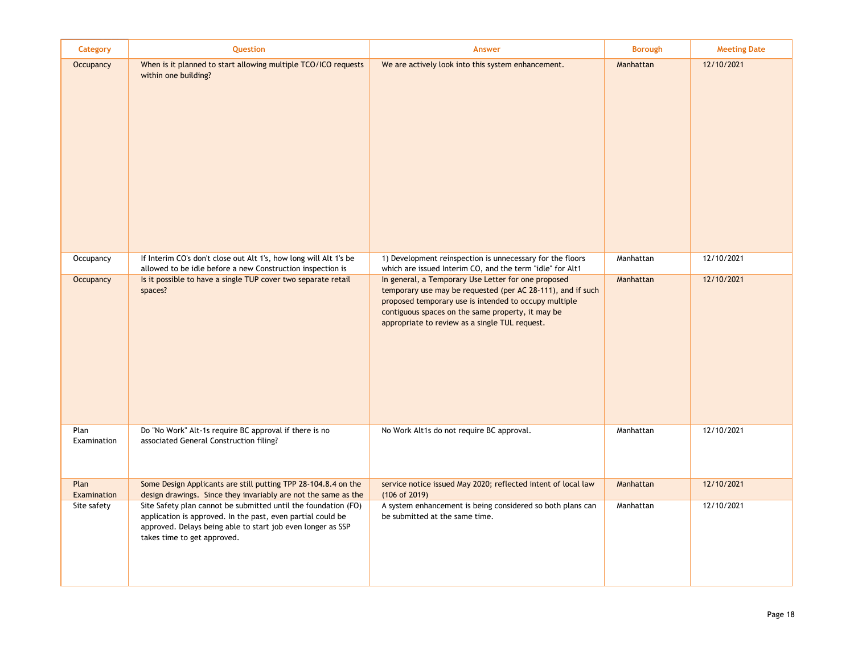| Category            | Question                                                                                                                                                                                                                    | <b>Answer</b>                                                                                                                                                                                                                                                                      | <b>Borough</b> | <b>Meeting Date</b> |
|---------------------|-----------------------------------------------------------------------------------------------------------------------------------------------------------------------------------------------------------------------------|------------------------------------------------------------------------------------------------------------------------------------------------------------------------------------------------------------------------------------------------------------------------------------|----------------|---------------------|
| <b>Occupancy</b>    | When is it planned to start allowing multiple TCO/ICO requests<br>within one building?                                                                                                                                      | We are actively look into this system enhancement.                                                                                                                                                                                                                                 | Manhattan      | 12/10/2021          |
| Occupancy           | If Interim CO's don't close out Alt 1's, how long will Alt 1's be<br>allowed to be idle before a new Construction inspection is                                                                                             | 1) Development reinspection is unnecessary for the floors<br>which are issued Interim CO, and the term "idle" for Alt1                                                                                                                                                             | Manhattan      | 12/10/2021          |
| <b>Occupancy</b>    | Is it possible to have a single TUP cover two separate retail<br>spaces?                                                                                                                                                    | In general, a Temporary Use Letter for one proposed<br>temporary use may be requested (per AC 28-111), and if such<br>proposed temporary use is intended to occupy multiple<br>contiguous spaces on the same property, it may be<br>appropriate to review as a single TUL request. | Manhattan      | 12/10/2021          |
| Plan<br>Examination | Do "No Work" Alt-1s require BC approval if there is no<br>associated General Construction filing?                                                                                                                           | No Work Alt1s do not require BC approval.                                                                                                                                                                                                                                          | Manhattan      | 12/10/2021          |
| Plan<br>Examination | Some Design Applicants are still putting TPP 28-104.8.4 on the<br>design drawings. Since they invariably are not the same as the                                                                                            | service notice issued May 2020; reflected intent of local law<br>(106 of 2019)                                                                                                                                                                                                     | Manhattan      | 12/10/2021          |
| Site safety         | Site Safety plan cannot be submitted until the foundation (FO)<br>application is approved. In the past, even partial could be<br>approved. Delays being able to start job even longer as SSP<br>takes time to get approved. | A system enhancement is being considered so both plans can<br>be submitted at the same time.                                                                                                                                                                                       | Manhattan      | 12/10/2021          |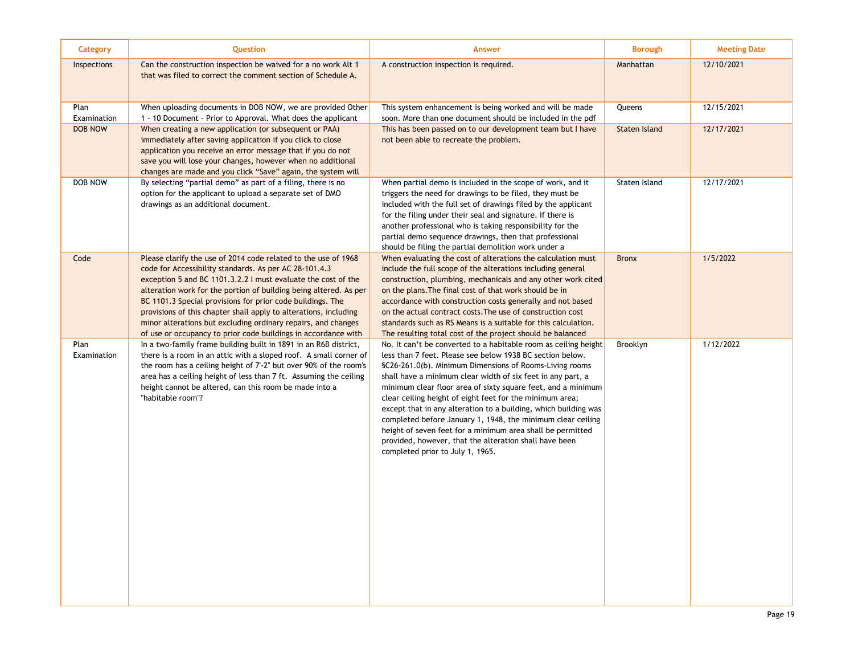| Category            | Question                                                                                                                                                                                                                                                                                                                                                                                                                                                                                                                            | <b>Answer</b>                                                                                                                                                                                                                                                                                                                                                                                                                                                                                                                                                                                                                                                                    | <b>Borough</b>       | <b>Meeting Date</b> |
|---------------------|-------------------------------------------------------------------------------------------------------------------------------------------------------------------------------------------------------------------------------------------------------------------------------------------------------------------------------------------------------------------------------------------------------------------------------------------------------------------------------------------------------------------------------------|----------------------------------------------------------------------------------------------------------------------------------------------------------------------------------------------------------------------------------------------------------------------------------------------------------------------------------------------------------------------------------------------------------------------------------------------------------------------------------------------------------------------------------------------------------------------------------------------------------------------------------------------------------------------------------|----------------------|---------------------|
| <b>Inspections</b>  | Can the construction inspection be waived for a no work Alt 1<br>that was filed to correct the comment section of Schedule A.                                                                                                                                                                                                                                                                                                                                                                                                       | A construction inspection is required.                                                                                                                                                                                                                                                                                                                                                                                                                                                                                                                                                                                                                                           | Manhattan            | 12/10/2021          |
| Plan<br>Examination | When uploading documents in DOB NOW, we are provided Other<br>1 - 10 Document - Prior to Approval. What does the applicant                                                                                                                                                                                                                                                                                                                                                                                                          | This system enhancement is being worked and will be made<br>soon. More than one document should be included in the pdf                                                                                                                                                                                                                                                                                                                                                                                                                                                                                                                                                           | Queens               | 12/15/2021          |
| <b>DOB NOW</b>      | When creating a new application (or subsequent or PAA)<br>immediately after saving application if you click to close<br>application you receive an error message that if you do not<br>save you will lose your changes, however when no additional<br>changes are made and you click "Save" again, the system will                                                                                                                                                                                                                  | This has been passed on to our development team but I have<br>not been able to recreate the problem.                                                                                                                                                                                                                                                                                                                                                                                                                                                                                                                                                                             | <b>Staten Island</b> | 12/17/2021          |
| <b>DOB NOW</b>      | By selecting "partial demo" as part of a filing, there is no<br>option for the applicant to upload a separate set of DMO<br>drawings as an additional document.                                                                                                                                                                                                                                                                                                                                                                     | When partial demo is included in the scope of work, and it<br>triggers the need for drawings to be filed, they must be<br>included with the full set of drawings filed by the applicant<br>for the filing under their seal and signature. If there is<br>another professional who is taking responsibility for the<br>partial demo sequence drawings, then that professional<br>should be filing the partial demolition work under a                                                                                                                                                                                                                                             | Staten Island        | 12/17/2021          |
| Code                | Please clarify the use of 2014 code related to the use of 1968<br>code for Accessibility standards. As per AC 28-101.4.3<br>exception 5 and BC 1101.3.2.2 I must evaluate the cost of the<br>alteration work for the portion of building being altered. As per<br>BC 1101.3 Special provisions for prior code buildings. The<br>provisions of this chapter shall apply to alterations, including<br>minor alterations but excluding ordinary repairs, and changes<br>of use or occupancy to prior code buildings in accordance with | When evaluating the cost of alterations the calculation must<br>include the full scope of the alterations including general<br>construction, plumbing, mechanicals and any other work cited<br>on the plans. The final cost of that work should be in<br>accordance with construction costs generally and not based<br>on the actual contract costs. The use of construction cost<br>standards such as RS Means is a suitable for this calculation.<br>The resulting total cost of the project should be balanced                                                                                                                                                                | <b>Bronx</b>         | 1/5/2022            |
| Plan<br>Examination | In a two-family frame building built in 1891 in an R6B district,<br>there is a room in an attic with a sloped roof. A small corner of<br>the room has a ceiling height of 7'-2" but over 90% of the room's<br>area has a ceiling height of less than 7 ft. Assuming the ceiling<br>height cannot be altered, can this room be made into a<br>"habitable room"?                                                                                                                                                                      | No. It can't be converted to a habitable room as ceiling height<br>less than 7 feet. Please see below 1938 BC section below.<br>§C26-261.0(b). Minimum Dimensions of Rooms-Living rooms<br>shall have a minimum clear width of six feet in any part, a<br>minimum clear floor area of sixty square feet, and a minimum<br>clear ceiling height of eight feet for the minimum area;<br>except that in any alteration to a building, which building was<br>completed before January 1, 1948, the minimum clear ceiling<br>height of seven feet for a minimum area shall be permitted<br>provided, however, that the alteration shall have been<br>completed prior to July 1, 1965. | Brooklyn             | 1/12/2022           |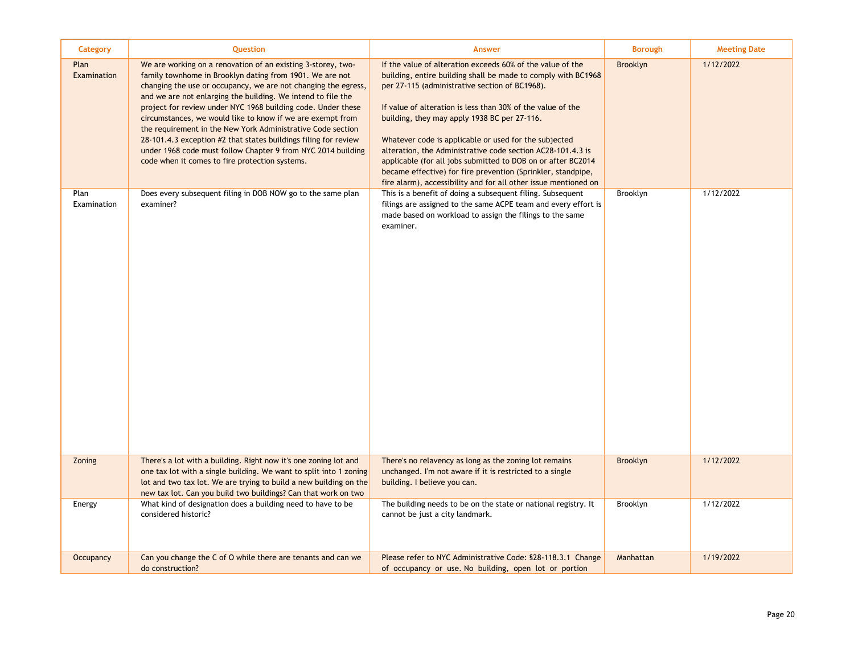| Category            | Question                                                                                                                                                                                                                                                                                                                                                                                                                                                                                                                                                                                                                                     | Answer                                                                                                                                                                                                                                                                                                                                                                                                                                                                                                                                                                                                                  | <b>Borough</b>  | <b>Meeting Date</b> |
|---------------------|----------------------------------------------------------------------------------------------------------------------------------------------------------------------------------------------------------------------------------------------------------------------------------------------------------------------------------------------------------------------------------------------------------------------------------------------------------------------------------------------------------------------------------------------------------------------------------------------------------------------------------------------|-------------------------------------------------------------------------------------------------------------------------------------------------------------------------------------------------------------------------------------------------------------------------------------------------------------------------------------------------------------------------------------------------------------------------------------------------------------------------------------------------------------------------------------------------------------------------------------------------------------------------|-----------------|---------------------|
| Plan<br>Examination | We are working on a renovation of an existing 3-storey, two-<br>family townhome in Brooklyn dating from 1901. We are not<br>changing the use or occupancy, we are not changing the egress,<br>and we are not enlarging the building. We intend to file the<br>project for review under NYC 1968 building code. Under these<br>circumstances, we would like to know if we are exempt from<br>the requirement in the New York Administrative Code section<br>28-101.4.3 exception #2 that states buildings filing for review<br>under 1968 code must follow Chapter 9 from NYC 2014 building<br>code when it comes to fire protection systems. | If the value of alteration exceeds 60% of the value of the<br>building, entire building shall be made to comply with BC1968<br>per 27-115 (administrative section of BC1968).<br>If value of alteration is less than 30% of the value of the<br>building, they may apply 1938 BC per 27-116.<br>Whatever code is applicable or used for the subjected<br>alteration, the Administrative code section AC28-101.4.3 is<br>applicable (for all jobs submitted to DOB on or after BC2014<br>became effective) for fire prevention (Sprinkler, standpipe,<br>fire alarm), accessibility and for all other issue mentioned on | Brooklyn        | 1/12/2022           |
| Plan<br>Examination | Does every subsequent filing in DOB NOW go to the same plan<br>examiner?                                                                                                                                                                                                                                                                                                                                                                                                                                                                                                                                                                     | This is a benefit of doing a subsequent filing. Subsequent<br>filings are assigned to the same ACPE team and every effort is<br>made based on workload to assign the filings to the same<br>examiner.                                                                                                                                                                                                                                                                                                                                                                                                                   | Brooklyn        | 1/12/2022           |
| Zoning              | There's a lot with a building. Right now it's one zoning lot and<br>one tax lot with a single building. We want to split into 1 zoning<br>lot and two tax lot. We are trying to build a new building on the<br>new tax lot. Can you build two buildings? Can that work on two                                                                                                                                                                                                                                                                                                                                                                | There's no relavency as long as the zoning lot remains<br>unchanged. I'm not aware if it is restricted to a single<br>building. I believe you can.                                                                                                                                                                                                                                                                                                                                                                                                                                                                      | <b>Brooklyn</b> | 1/12/2022           |
| Energy              | What kind of designation does a building need to have to be<br>considered historic?                                                                                                                                                                                                                                                                                                                                                                                                                                                                                                                                                          | The building needs to be on the state or national registry. It<br>cannot be just a city landmark.                                                                                                                                                                                                                                                                                                                                                                                                                                                                                                                       | Brooklyn        | 1/12/2022           |
| Occupancy           | Can you change the C of O while there are tenants and can we<br>do construction?                                                                                                                                                                                                                                                                                                                                                                                                                                                                                                                                                             | Please refer to NYC Administrative Code: \$28-118.3.1 Change<br>of occupancy or use. No building, open lot or portion                                                                                                                                                                                                                                                                                                                                                                                                                                                                                                   | Manhattan       | 1/19/2022           |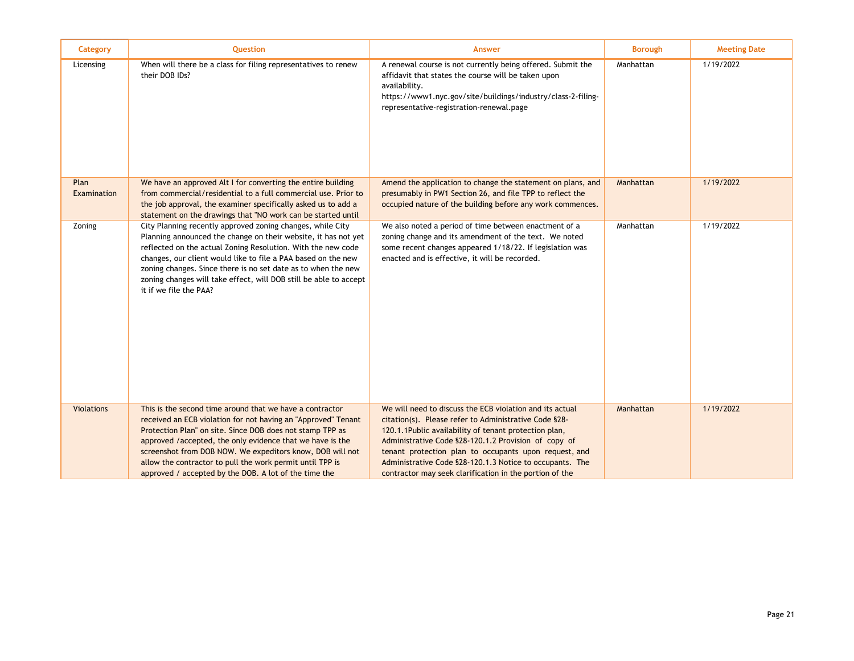| Category            | Question                                                                                                                                                                                                                                                                                                                                                                                                                               | <b>Answer</b>                                                                                                                                                                                                                                                                                                                                                                                                      | <b>Borough</b> | <b>Meeting Date</b> |
|---------------------|----------------------------------------------------------------------------------------------------------------------------------------------------------------------------------------------------------------------------------------------------------------------------------------------------------------------------------------------------------------------------------------------------------------------------------------|--------------------------------------------------------------------------------------------------------------------------------------------------------------------------------------------------------------------------------------------------------------------------------------------------------------------------------------------------------------------------------------------------------------------|----------------|---------------------|
| Licensing           | When will there be a class for filing representatives to renew<br>their DOB IDs?                                                                                                                                                                                                                                                                                                                                                       | A renewal course is not currently being offered. Submit the<br>affidavit that states the course will be taken upon<br>availability.<br>https://www1.nyc.gov/site/buildings/industry/class-2-filing-<br>representative-registration-renewal.page                                                                                                                                                                    | Manhattan      | 1/19/2022           |
| Plan<br>Examination | We have an approved Alt I for converting the entire building<br>from commercial/residential to a full commercial use. Prior to<br>the job approval, the examiner specifically asked us to add a<br>statement on the drawings that "NO work can be started until                                                                                                                                                                        | Amend the application to change the statement on plans, and<br>presumably in PW1 Section 26, and file TPP to reflect the<br>occupied nature of the building before any work commences.                                                                                                                                                                                                                             | Manhattan      | 1/19/2022           |
| Zoning              | City Planning recently approved zoning changes, while City<br>Planning announced the change on their website, it has not yet<br>reflected on the actual Zoning Resolution. With the new code<br>changes, our client would like to file a PAA based on the new<br>zoning changes. Since there is no set date as to when the new<br>zoning changes will take effect, will DOB still be able to accept<br>it if we file the PAA?          | We also noted a period of time between enactment of a<br>zoning change and its amendment of the text. We noted<br>some recent changes appeared 1/18/22. If legislation was<br>enacted and is effective, it will be recorded.                                                                                                                                                                                       | Manhattan      | 1/19/2022           |
| <b>Violations</b>   | This is the second time around that we have a contractor<br>received an ECB violation for not having an "Approved" Tenant<br>Protection Plan" on site. Since DOB does not stamp TPP as<br>approved /accepted, the only evidence that we have is the<br>screenshot from DOB NOW. We expeditors know, DOB will not<br>allow the contractor to pull the work permit until TPP is<br>approved / accepted by the DOB. A lot of the time the | We will need to discuss the ECB violation and its actual<br>citation(s). Please refer to Administrative Code §28-<br>120.1.1Public availability of tenant protection plan,<br>Administrative Code §28-120.1.2 Provision of copy of<br>tenant protection plan to occupants upon request, and<br>Administrative Code §28-120.1.3 Notice to occupants. The<br>contractor may seek clarification in the portion of the | Manhattan      | 1/19/2022           |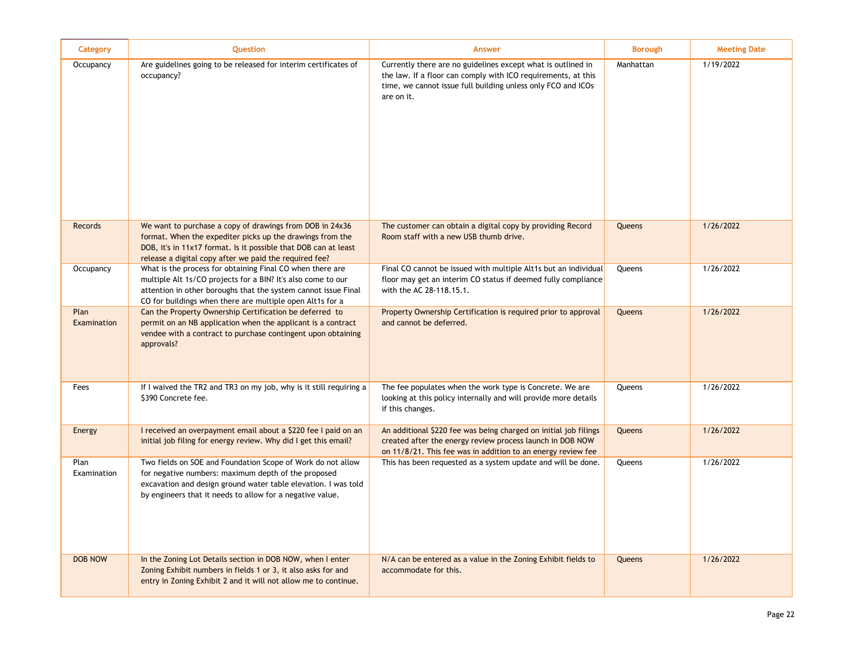| Category            | <b>Question</b>                                                                                                                                                                                                                                          | <b>Answer</b>                                                                                                                                                                                               | <b>Borough</b> | <b>Meeting Date</b> |
|---------------------|----------------------------------------------------------------------------------------------------------------------------------------------------------------------------------------------------------------------------------------------------------|-------------------------------------------------------------------------------------------------------------------------------------------------------------------------------------------------------------|----------------|---------------------|
| Occupancy           | Are guidelines going to be released for interim certificates of<br>occupancy?                                                                                                                                                                            | Currently there are no guidelines except what is outlined in<br>the law. If a floor can comply with ICO requirements, at this<br>time, we cannot issue full building unless only FCO and ICOs<br>are on it. | Manhattan      | 1/19/2022           |
| <b>Records</b>      | We want to purchase a copy of drawings from DOB in 24x36<br>format. When the expediter picks up the drawings from the<br>DOB, it's in 11x17 format. Is it possible that DOB can at least<br>release a digital copy after we paid the required fee?       | The customer can obtain a digital copy by providing Record<br>Room staff with a new USB thumb drive.                                                                                                        | Queens         | 1/26/2022           |
| Occupancy           | What is the process for obtaining Final CO when there are<br>multiple Alt 1s/CO projects for a BIN? It's also come to our<br>attention in other boroughs that the system cannot issue Final<br>CO for buildings when there are multiple open Alt1s for a | Final CO cannot be issued with multiple Alt1s but an individual<br>floor may get an interim CO status if deemed fully compliance<br>with the AC 28-118.15.1.                                                | Queens         | 1/26/2022           |
| Plan<br>Examination | Can the Property Ownership Certification be deferred to<br>permit on an NB application when the applicant is a contract<br>vendee with a contract to purchase contingent upon obtaining<br>approvals?                                                    | Property Ownership Certification is required prior to approval<br>and cannot be deferred.                                                                                                                   | Queens         | 1/26/2022           |
| Fees                | If I waived the TR2 and TR3 on my job, why is it still requiring a<br>\$390 Concrete fee.                                                                                                                                                                | The fee populates when the work type is Concrete. We are<br>looking at this policy internally and will provide more details<br>if this changes.                                                             | Queens         | 1/26/2022           |
| Energy              | I received an overpayment email about a \$220 fee I paid on an<br>initial job filing for energy review. Why did I get this email?                                                                                                                        | An additional \$220 fee was being charged on initial job filings<br>created after the energy review process launch in DOB NOW<br>on 11/8/21. This fee was in addition to an energy review fee               | Queens         | 1/26/2022           |
| Plan<br>Examination | Two fields on SOE and Foundation Scope of Work do not allow<br>for negative numbers: maximum depth of the proposed<br>excavation and design ground water table elevation. I was told<br>by engineers that it needs to allow for a negative value.        | This has been requested as a system update and will be done.                                                                                                                                                | Queens         | 1/26/2022           |
| <b>DOB NOW</b>      | In the Zoning Lot Details section in DOB NOW, when I enter<br>Zoning Exhibit numbers in fields 1 or 3, it also asks for and<br>entry in Zoning Exhibit 2 and it will not allow me to continue.                                                           | N/A can be entered as a value in the Zoning Exhibit fields to<br>accommodate for this.                                                                                                                      | Queens         | 1/26/2022           |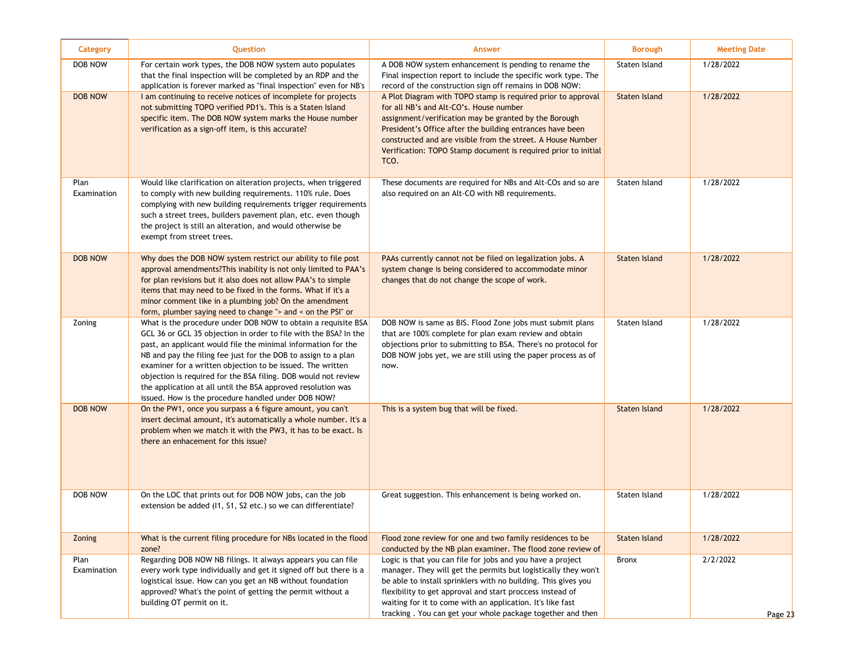| Category            | Question                                                                                                                                                                                                                                                                                                                                                                                                                                                                                                                    | <b>Answer</b>                                                                                                                                                                                                                                                                                                                                                                           | <b>Borough</b>       | <b>Meeting Date</b>   |
|---------------------|-----------------------------------------------------------------------------------------------------------------------------------------------------------------------------------------------------------------------------------------------------------------------------------------------------------------------------------------------------------------------------------------------------------------------------------------------------------------------------------------------------------------------------|-----------------------------------------------------------------------------------------------------------------------------------------------------------------------------------------------------------------------------------------------------------------------------------------------------------------------------------------------------------------------------------------|----------------------|-----------------------|
| DOB NOW             | For certain work types, the DOB NOW system auto populates<br>that the final inspection will be completed by an RDP and the<br>application is forever marked as "final inspection" even for NB's                                                                                                                                                                                                                                                                                                                             | A DOB NOW system enhancement is pending to rename the<br>Final inspection report to include the specific work type. The<br>record of the construction sign off remains in DOB NOW:                                                                                                                                                                                                      | Staten Island        | 1/28/2022             |
| <b>DOB NOW</b>      | I am continuing to receive notices of incomplete for projects<br>not submitting TOPO verified PD1's. This is a Staten Island<br>specific item. The DOB NOW system marks the House number<br>verification as a sign-off item, is this accurate?                                                                                                                                                                                                                                                                              | A Plot Diagram with TOPO stamp is required prior to approval<br>for all NB's and Alt-CO's. House number<br>assignment/verification may be granted by the Borough<br>President's Office after the building entrances have been<br>constructed and are visible from the street. A House Number<br>Verification: TOPO Stamp document is required prior to initial<br>TCO.                  | Staten Island        | 1/28/2022             |
| Plan<br>Examination | Would like clarification on alteration projects, when triggered<br>to comply with new building requirements. 110% rule. Does<br>complying with new building requirements trigger requirements<br>such a street trees, builders pavement plan, etc. even though<br>the project is still an alteration, and would otherwise be<br>exempt from street trees.                                                                                                                                                                   | These documents are required for NBs and Alt-COs and so are<br>also required on an Alt-CO with NB requirements.                                                                                                                                                                                                                                                                         | Staten Island        | 1/28/2022             |
| <b>DOB NOW</b>      | Why does the DOB NOW system restrict our ability to file post<br>approval amendments? This inability is not only limited to PAA's<br>for plan revisions but it also does not allow PAA's to simple<br>items that may need to be fixed in the forms. What if it's a<br>minor comment like in a plumbing job? On the amendment<br>form, plumber saying need to change " $>$ and $<$ on the PSI" or                                                                                                                            | PAAs currently cannot not be filed on legalization jobs. A<br>system change is being considered to accommodate minor<br>changes that do not change the scope of work.                                                                                                                                                                                                                   | <b>Staten Island</b> | 1/28/2022             |
| Zoning              | What is the procedure under DOB NOW to obtain a requisite BSA<br>GCL 36 or GCL 35 objection in order to file with the BSA? In the<br>past, an applicant would file the minimal information for the<br>NB and pay the filing fee just for the DOB to assign to a plan<br>examiner for a written objection to be issued. The written<br>objection is required for the BSA filing. DOB would not review<br>the application at all until the BSA approved resolution was<br>issued. How is the procedure handled under DOB NOW? | DOB NOW is same as BIS. Flood Zone jobs must submit plans<br>that are 100% complete for plan exam review and obtain<br>objections prior to submitting to BSA. There's no protocol for<br>DOB NOW jobs yet, we are still using the paper process as of<br>now.                                                                                                                           | Staten Island        | 1/28/2022             |
| <b>DOB NOW</b>      | On the PW1, once you surpass a 6 figure amount, you can't<br>insert decimal amount, it's automatically a whole number. It's a<br>problem when we match it with the PW3, it has to be exact. Is<br>there an enhacement for this issue?                                                                                                                                                                                                                                                                                       | This is a system bug that will be fixed.                                                                                                                                                                                                                                                                                                                                                | <b>Staten Island</b> | 1/28/2022             |
| DOB NOW             | On the LOC that prints out for DOB NOW jobs, can the job<br>extension be added (11, S1, S2 etc.) so we can differentiate?                                                                                                                                                                                                                                                                                                                                                                                                   | Great suggestion. This enhancement is being worked on.                                                                                                                                                                                                                                                                                                                                  | Staten Island        | 1/28/2022             |
| Zoning              | What is the current filing procedure for NBs located in the flood<br>zone?                                                                                                                                                                                                                                                                                                                                                                                                                                                  | Flood zone review for one and two family residences to be<br>conducted by the NB plan examiner. The flood zone review of                                                                                                                                                                                                                                                                | <b>Staten Island</b> | 1/28/2022             |
| Plan<br>Examination | Regarding DOB NOW NB filings. It always appears you can file<br>every work type individually and get it signed off but there is a<br>logistical issue. How can you get an NB without foundation<br>approved? What's the point of getting the permit without a<br>building OT permit on it.                                                                                                                                                                                                                                  | Logic is that you can file for jobs and you have a project<br>manager. They will get the permits but logistically they won't<br>be able to install sprinklers with no building. This gives you<br>flexibility to get approval and start proccess instead of<br>waiting for it to come with an application. It's like fast<br>tracking. You can get your whole package together and then | Bronx                | 2/2/2022<br>Page $23$ |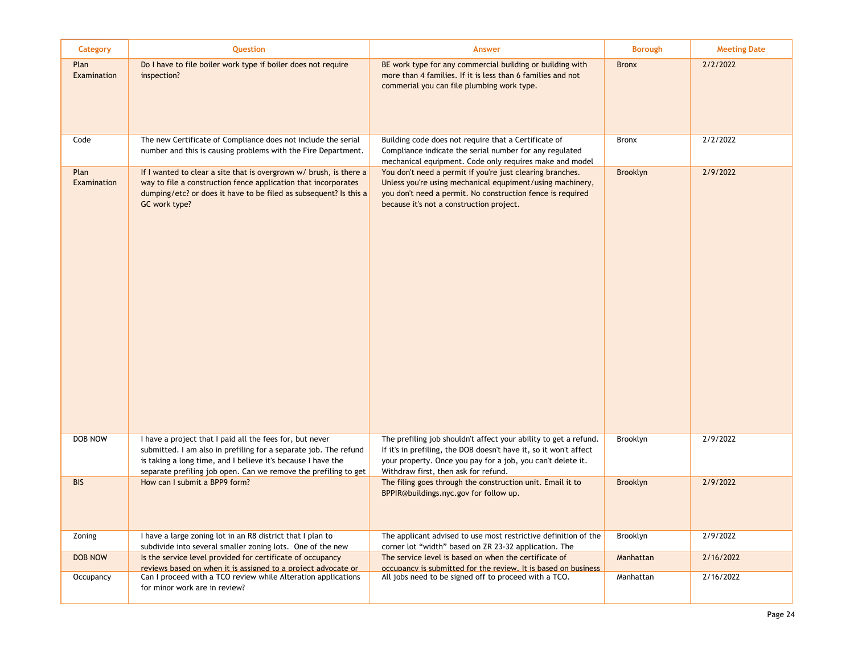| Category            | Question                                                                                                                                                                                                                                                        | <b>Answer</b>                                                                                                                                                                                                                                | <b>Borough</b> | <b>Meeting Date</b> |
|---------------------|-----------------------------------------------------------------------------------------------------------------------------------------------------------------------------------------------------------------------------------------------------------------|----------------------------------------------------------------------------------------------------------------------------------------------------------------------------------------------------------------------------------------------|----------------|---------------------|
| Plan<br>Examination | Do I have to file boiler work type if boiler does not require<br>inspection?                                                                                                                                                                                    | BE work type for any commercial building or building with<br>more than 4 families. If it is less than 6 families and not<br>commerial you can file plumbing work type.                                                                       | <b>Bronx</b>   | 2/2/2022            |
| Code                | The new Certificate of Compliance does not include the serial<br>number and this is causing problems with the Fire Department.                                                                                                                                  | Building code does not require that a Certificate of<br>Compliance indicate the serial number for any regulated<br>mechanical equipment. Code only requires make and model                                                                   | <b>Bronx</b>   | 2/2/2022            |
| Plan<br>Examination | If I wanted to clear a site that is overgrown w/ brush, is there a<br>way to file a construction fence application that incorporates<br>dumping/etc? or does it have to be filed as subsequent? Is this a<br>GC work type?                                      | You don't need a permit if you're just clearing branches.<br>Unless you're using mechanical equpiment/using machinery,<br>you don't need a permit. No construction fence is required<br>because it's not a construction project.             | Brooklyn       | 2/9/2022            |
| <b>DOB NOW</b>      | I have a project that I paid all the fees for, but never<br>submitted. I am also in prefiling for a separate job. The refund<br>is taking a long time, and I believe it's because I have the<br>separate prefiling job open. Can we remove the prefiling to get | The prefiling job shouldn't affect your ability to get a refund.<br>If it's in prefiling, the DOB doesn't have it, so it won't affect<br>your property. Once you pay for a job, you can't delete it.<br>Withdraw first, then ask for refund. | Brooklyn       | 2/9/2022            |
| <b>BIS</b>          | How can I submit a BPP9 form?                                                                                                                                                                                                                                   | The filing goes through the construction unit. Email it to<br>BPPIR@buildings.nyc.gov for follow up.                                                                                                                                         | Brooklyn       | 2/9/2022            |
| Zoning              | I have a large zoning lot in an R8 district that I plan to<br>subdivide into several smaller zoning lots. One of the new                                                                                                                                        | The applicant advised to use most restrictive definition of the<br>corner lot "width" based on ZR 23-32 application. The                                                                                                                     | Brooklyn       | 2/9/2022            |
| <b>DOB NOW</b>      | Is the service level provided for certificate of occupancy<br>reviews based on when it is assigned to a project advocate or                                                                                                                                     | The service level is based on when the certificate of<br>occupancy is submitted for the review. It is based on business                                                                                                                      | Manhattan      | 2/16/2022           |
| Occupancy           | Can I proceed with a TCO review while Alteration applications<br>for minor work are in review?                                                                                                                                                                  | All jobs need to be signed off to proceed with a TCO.                                                                                                                                                                                        | Manhattan      | 2/16/2022           |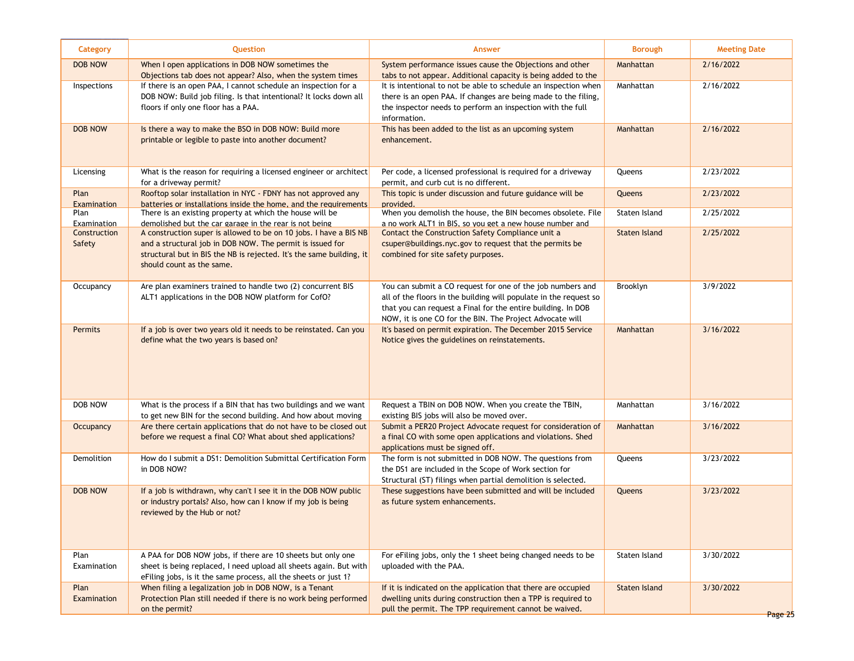| 2/16/2022<br><b>DOB NOW</b><br>When I open applications in DOB NOW sometimes the<br>System performance issues cause the Objections and other<br>Manhattan<br>Objections tab does not appear? Also, when the system times<br>tabs to not appear. Additional capacity is being added to the<br>If there is an open PAA, I cannot schedule an inspection for a<br>It is intentional to not be able to schedule an inspection when<br>2/16/2022<br>Inspections<br>Manhattan<br>DOB NOW: Build job filing. Is that intentional? It locks down all<br>there is an open PAA. If changes are being made to the filing,<br>the inspector needs to perform an inspection with the full<br>floors if only one floor has a PAA.<br>information.<br>2/16/2022<br><b>DOB NOW</b><br>Is there a way to make the BSO in DOB NOW: Build more<br>This has been added to the list as an upcoming system<br>Manhattan<br>printable or legible to paste into another document?<br>enhancement.<br>2/23/2022<br>What is the reason for requiring a licensed engineer or architect<br>Per code, a licensed professional is required for a driveway<br>Queens<br>Licensing<br>for a driveway permit?<br>permit, and curb cut is no different.<br>Rooftop solar installation in NYC - FDNY has not approved any<br>This topic is under discussion and future guidance will be<br>2/23/2022<br>Plan<br>Queens<br>batteries or installations inside the home. and the requirements<br>provided.<br>Examination<br>When you demolish the house, the BIN becomes obsolete. File<br>2/25/2022<br>Staten Island<br>Plan<br>There is an existing property at which the house will be<br>demolished but the car garage in the rear is not being<br>a no work ALT1 in BIS, so you get a new house number and<br>Examination<br>2/25/2022<br>A construction super is allowed to be on 10 jobs. I have a BIS NB<br>Contact the Construction Safety Compliance unit a<br>Staten Island<br>Construction<br>and a structural job in DOB NOW. The permit is issued for<br>csuper@buildings.nyc.gov to request that the permits be<br>Safety<br>structural but in BIS the NB is rejected. It's the same building, it<br>combined for site safety purposes.<br>should count as the same.<br>You can submit a CO request for one of the job numbers and<br>3/9/2022<br>Are plan examiners trained to handle two (2) concurrent BIS<br><b>Brooklyn</b><br>Occupancy<br>ALT1 applications in the DOB NOW platform for CofO?<br>all of the floors in the building will populate in the request so<br>that you can request a Final for the entire building. In DOB<br>NOW, it is one CO for the BIN. The Project Advocate will<br>If a job is over two years old it needs to be reinstated. Can you<br>3/16/2022<br><b>Permits</b><br>It's based on permit expiration. The December 2015 Service<br>Manhattan<br>define what the two years is based on?<br>Notice gives the guidelines on reinstatements.<br>Request a TBIN on DOB NOW. When you create the TBIN,<br>3/16/2022<br>DOB NOW<br>What is the process if a BIN that has two buildings and we want<br>Manhattan<br>to get new BIN for the second building. And how about moving<br>existing BIS jobs will also be moved over.<br>Are there certain applications that do not have to be closed out<br>Submit a PER20 Project Advocate request for consideration of<br>3/16/2022<br>Occupancy<br>Manhattan |         |
|---------------------------------------------------------------------------------------------------------------------------------------------------------------------------------------------------------------------------------------------------------------------------------------------------------------------------------------------------------------------------------------------------------------------------------------------------------------------------------------------------------------------------------------------------------------------------------------------------------------------------------------------------------------------------------------------------------------------------------------------------------------------------------------------------------------------------------------------------------------------------------------------------------------------------------------------------------------------------------------------------------------------------------------------------------------------------------------------------------------------------------------------------------------------------------------------------------------------------------------------------------------------------------------------------------------------------------------------------------------------------------------------------------------------------------------------------------------------------------------------------------------------------------------------------------------------------------------------------------------------------------------------------------------------------------------------------------------------------------------------------------------------------------------------------------------------------------------------------------------------------------------------------------------------------------------------------------------------------------------------------------------------------------------------------------------------------------------------------------------------------------------------------------------------------------------------------------------------------------------------------------------------------------------------------------------------------------------------------------------------------------------------------------------------------------------------------------------------------------------------------------------------------------------------------------------------------------------------------------------------------------------------------------------------------------------------------------------------------------------------------------------------------------------------------------------------------------------------------------------------------------------------------------------------------------------------------------------------------------------------------------------------------------------------------------------------------------------------------------------------------------------------------------------------------------------------------------------------------------------------------------------------------------------------------------------------------------------------------------------------------------------------------------------------|---------|
|                                                                                                                                                                                                                                                                                                                                                                                                                                                                                                                                                                                                                                                                                                                                                                                                                                                                                                                                                                                                                                                                                                                                                                                                                                                                                                                                                                                                                                                                                                                                                                                                                                                                                                                                                                                                                                                                                                                                                                                                                                                                                                                                                                                                                                                                                                                                                                                                                                                                                                                                                                                                                                                                                                                                                                                                                                                                                                                                                                                                                                                                                                                                                                                                                                                                                                                                                                                                                     |         |
|                                                                                                                                                                                                                                                                                                                                                                                                                                                                                                                                                                                                                                                                                                                                                                                                                                                                                                                                                                                                                                                                                                                                                                                                                                                                                                                                                                                                                                                                                                                                                                                                                                                                                                                                                                                                                                                                                                                                                                                                                                                                                                                                                                                                                                                                                                                                                                                                                                                                                                                                                                                                                                                                                                                                                                                                                                                                                                                                                                                                                                                                                                                                                                                                                                                                                                                                                                                                                     |         |
|                                                                                                                                                                                                                                                                                                                                                                                                                                                                                                                                                                                                                                                                                                                                                                                                                                                                                                                                                                                                                                                                                                                                                                                                                                                                                                                                                                                                                                                                                                                                                                                                                                                                                                                                                                                                                                                                                                                                                                                                                                                                                                                                                                                                                                                                                                                                                                                                                                                                                                                                                                                                                                                                                                                                                                                                                                                                                                                                                                                                                                                                                                                                                                                                                                                                                                                                                                                                                     |         |
|                                                                                                                                                                                                                                                                                                                                                                                                                                                                                                                                                                                                                                                                                                                                                                                                                                                                                                                                                                                                                                                                                                                                                                                                                                                                                                                                                                                                                                                                                                                                                                                                                                                                                                                                                                                                                                                                                                                                                                                                                                                                                                                                                                                                                                                                                                                                                                                                                                                                                                                                                                                                                                                                                                                                                                                                                                                                                                                                                                                                                                                                                                                                                                                                                                                                                                                                                                                                                     |         |
|                                                                                                                                                                                                                                                                                                                                                                                                                                                                                                                                                                                                                                                                                                                                                                                                                                                                                                                                                                                                                                                                                                                                                                                                                                                                                                                                                                                                                                                                                                                                                                                                                                                                                                                                                                                                                                                                                                                                                                                                                                                                                                                                                                                                                                                                                                                                                                                                                                                                                                                                                                                                                                                                                                                                                                                                                                                                                                                                                                                                                                                                                                                                                                                                                                                                                                                                                                                                                     |         |
|                                                                                                                                                                                                                                                                                                                                                                                                                                                                                                                                                                                                                                                                                                                                                                                                                                                                                                                                                                                                                                                                                                                                                                                                                                                                                                                                                                                                                                                                                                                                                                                                                                                                                                                                                                                                                                                                                                                                                                                                                                                                                                                                                                                                                                                                                                                                                                                                                                                                                                                                                                                                                                                                                                                                                                                                                                                                                                                                                                                                                                                                                                                                                                                                                                                                                                                                                                                                                     |         |
|                                                                                                                                                                                                                                                                                                                                                                                                                                                                                                                                                                                                                                                                                                                                                                                                                                                                                                                                                                                                                                                                                                                                                                                                                                                                                                                                                                                                                                                                                                                                                                                                                                                                                                                                                                                                                                                                                                                                                                                                                                                                                                                                                                                                                                                                                                                                                                                                                                                                                                                                                                                                                                                                                                                                                                                                                                                                                                                                                                                                                                                                                                                                                                                                                                                                                                                                                                                                                     |         |
|                                                                                                                                                                                                                                                                                                                                                                                                                                                                                                                                                                                                                                                                                                                                                                                                                                                                                                                                                                                                                                                                                                                                                                                                                                                                                                                                                                                                                                                                                                                                                                                                                                                                                                                                                                                                                                                                                                                                                                                                                                                                                                                                                                                                                                                                                                                                                                                                                                                                                                                                                                                                                                                                                                                                                                                                                                                                                                                                                                                                                                                                                                                                                                                                                                                                                                                                                                                                                     |         |
|                                                                                                                                                                                                                                                                                                                                                                                                                                                                                                                                                                                                                                                                                                                                                                                                                                                                                                                                                                                                                                                                                                                                                                                                                                                                                                                                                                                                                                                                                                                                                                                                                                                                                                                                                                                                                                                                                                                                                                                                                                                                                                                                                                                                                                                                                                                                                                                                                                                                                                                                                                                                                                                                                                                                                                                                                                                                                                                                                                                                                                                                                                                                                                                                                                                                                                                                                                                                                     |         |
|                                                                                                                                                                                                                                                                                                                                                                                                                                                                                                                                                                                                                                                                                                                                                                                                                                                                                                                                                                                                                                                                                                                                                                                                                                                                                                                                                                                                                                                                                                                                                                                                                                                                                                                                                                                                                                                                                                                                                                                                                                                                                                                                                                                                                                                                                                                                                                                                                                                                                                                                                                                                                                                                                                                                                                                                                                                                                                                                                                                                                                                                                                                                                                                                                                                                                                                                                                                                                     |         |
| a final CO with some open applications and violations. Shed<br>before we request a final CO? What about shed applications?<br>applications must be signed off.                                                                                                                                                                                                                                                                                                                                                                                                                                                                                                                                                                                                                                                                                                                                                                                                                                                                                                                                                                                                                                                                                                                                                                                                                                                                                                                                                                                                                                                                                                                                                                                                                                                                                                                                                                                                                                                                                                                                                                                                                                                                                                                                                                                                                                                                                                                                                                                                                                                                                                                                                                                                                                                                                                                                                                                                                                                                                                                                                                                                                                                                                                                                                                                                                                                      |         |
| The form is not submitted in DOB NOW. The questions from<br>3/23/2022<br>Demolition<br>How do I submit a DS1: Demolition Submittal Certification Form<br>Queens<br>in DOB NOW?<br>the DS1 are included in the Scope of Work section for<br>Structural (ST) filings when partial demolition is selected.                                                                                                                                                                                                                                                                                                                                                                                                                                                                                                                                                                                                                                                                                                                                                                                                                                                                                                                                                                                                                                                                                                                                                                                                                                                                                                                                                                                                                                                                                                                                                                                                                                                                                                                                                                                                                                                                                                                                                                                                                                                                                                                                                                                                                                                                                                                                                                                                                                                                                                                                                                                                                                                                                                                                                                                                                                                                                                                                                                                                                                                                                                             |         |
| These suggestions have been submitted and will be included<br>3/23/2022<br><b>DOB NOW</b><br>If a job is withdrawn, why can't I see it in the DOB NOW public<br>Queens<br>or industry portals? Also, how can I know if my job is being<br>as future system enhancements.<br>reviewed by the Hub or not?                                                                                                                                                                                                                                                                                                                                                                                                                                                                                                                                                                                                                                                                                                                                                                                                                                                                                                                                                                                                                                                                                                                                                                                                                                                                                                                                                                                                                                                                                                                                                                                                                                                                                                                                                                                                                                                                                                                                                                                                                                                                                                                                                                                                                                                                                                                                                                                                                                                                                                                                                                                                                                                                                                                                                                                                                                                                                                                                                                                                                                                                                                             |         |
| A PAA for DOB NOW jobs, if there are 10 sheets but only one<br>3/30/2022<br>Plan<br>For efiling jobs, only the 1 sheet being changed needs to be<br>Staten Island<br>Examination<br>sheet is being replaced, I need upload all sheets again. But with<br>uploaded with the PAA.<br>eFiling jobs, is it the same process, all the sheets or just 1?                                                                                                                                                                                                                                                                                                                                                                                                                                                                                                                                                                                                                                                                                                                                                                                                                                                                                                                                                                                                                                                                                                                                                                                                                                                                                                                                                                                                                                                                                                                                                                                                                                                                                                                                                                                                                                                                                                                                                                                                                                                                                                                                                                                                                                                                                                                                                                                                                                                                                                                                                                                                                                                                                                                                                                                                                                                                                                                                                                                                                                                                  |         |
| When filing a legalization job in DOB NOW, is a Tenant<br>If it is indicated on the application that there are occupied<br>Staten Island<br>3/30/2022<br>Plan<br>Protection Plan still needed if there is no work being performed<br>Examination<br>dwelling units during construction then a TPP is required to<br>pull the permit. The TPP requirement cannot be waived.<br>on the permit?                                                                                                                                                                                                                                                                                                                                                                                                                                                                                                                                                                                                                                                                                                                                                                                                                                                                                                                                                                                                                                                                                                                                                                                                                                                                                                                                                                                                                                                                                                                                                                                                                                                                                                                                                                                                                                                                                                                                                                                                                                                                                                                                                                                                                                                                                                                                                                                                                                                                                                                                                                                                                                                                                                                                                                                                                                                                                                                                                                                                                        | Page 25 |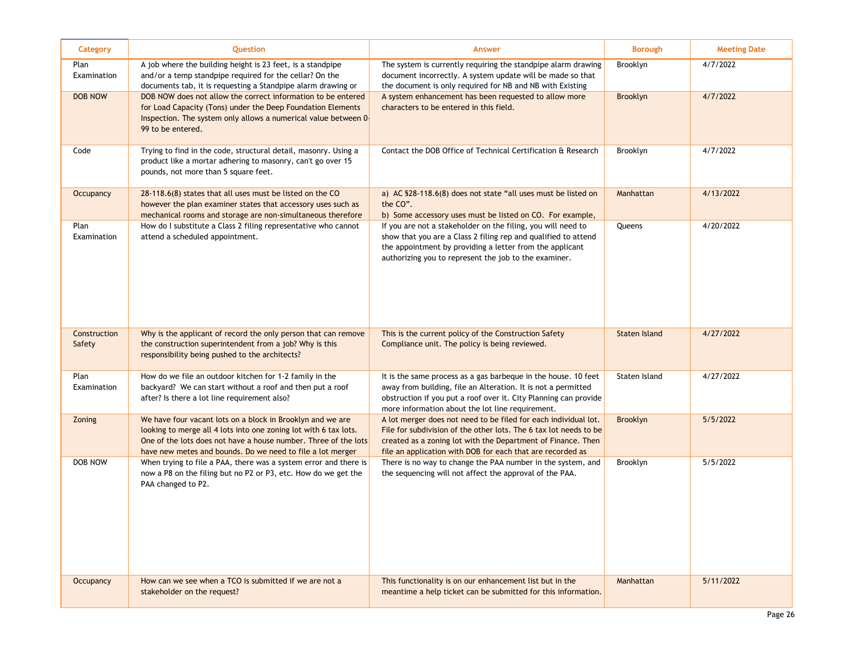| Category               | Question                                                                                                                                                                                                                                                        | <b>Answer</b>                                                                                                                                                                                                                                                      | <b>Borough</b>       | <b>Meeting Date</b> |
|------------------------|-----------------------------------------------------------------------------------------------------------------------------------------------------------------------------------------------------------------------------------------------------------------|--------------------------------------------------------------------------------------------------------------------------------------------------------------------------------------------------------------------------------------------------------------------|----------------------|---------------------|
| Plan<br>Examination    | A job where the building height is 23 feet, is a standpipe<br>and/or a temp standpipe required for the cellar? On the<br>documents tab, it is requesting a Standpipe alarm drawing or                                                                           | The system is currently requiring the standpipe alarm drawing<br>document incorrectly. A system update will be made so that<br>the document is only required for NB and NB with Existing                                                                           | Brooklyn             | 4/7/2022            |
| <b>DOB NOW</b>         | DOB NOW does not allow the correct information to be entered<br>for Load Capacity (Tons) under the Deep Foundation Elements<br>Inspection. The system only allows a numerical value between 0-<br>99 to be entered.                                             | A system enhancement has been requested to allow more<br>characters to be entered in this field.                                                                                                                                                                   | Brooklyn             | 4/7/2022            |
| Code                   | Trying to find in the code, structural detail, masonry. Using a<br>product like a mortar adhering to masonry, can't go over 15<br>pounds, not more than 5 square feet.                                                                                          | Contact the DOB Office of Technical Certification & Research                                                                                                                                                                                                       | Brooklyn             | 4/7/2022            |
| <b>Occupancy</b>       | 28-118.6(8) states that all uses must be listed on the CO<br>however the plan examiner states that accessory uses such as<br>mechanical rooms and storage are non-simultaneous therefore                                                                        | a) AC §28-118.6(8) does not state "all uses must be listed on<br>the CO".<br>b) Some accessory uses must be listed on CO. For example,                                                                                                                             | Manhattan            | 4/13/2022           |
| Plan<br>Examination    | How do I substitute a Class 2 filing representative who cannot<br>attend a scheduled appointment.                                                                                                                                                               | If you are not a stakeholder on the filing, you will need to<br>show that you are a Class 2 filing rep and qualified to attend<br>the appointment by providing a letter from the applicant<br>authorizing you to represent the job to the examiner.                | Queens               | 4/20/2022           |
| Construction<br>Safety | Why is the applicant of record the only person that can remove<br>the construction superintendent from a job? Why is this<br>responsibility being pushed to the architects?                                                                                     | This is the current policy of the Construction Safety<br>Compliance unit. The policy is being reviewed.                                                                                                                                                            | <b>Staten Island</b> | 4/27/2022           |
| Plan<br>Examination    | How do we file an outdoor kitchen for 1-2 family in the<br>backyard? We can start without a roof and then put a roof<br>after? Is there a lot line requirement also?                                                                                            | It is the same process as a gas barbeque in the house. 10 feet<br>away from building, file an Alteration. It is not a permitted<br>obstruction if you put a roof over it. City Planning can provide<br>more information about the lot line requirement.            | Staten Island        | 4/27/2022           |
| Zoning                 | We have four vacant lots on a block in Brooklyn and we are<br>looking to merge all 4 lots into one zoning lot with 6 tax lots.<br>One of the lots does not have a house number. Three of the lots<br>have new metes and bounds. Do we need to file a lot merger | A lot merger does not need to be filed for each individual lot.<br>File for subdivision of the other lots. The 6 tax lot needs to be<br>created as a zoning lot with the Department of Finance. Then<br>file an application with DOB for each that are recorded as | Brooklyn             | 5/5/2022            |
| DOB NOW                | When trying to file a PAA, there was a system error and there is<br>now a P8 on the filing but no P2 or P3, etc. How do we get the<br>PAA changed to P2.                                                                                                        | There is no way to change the PAA number in the system, and<br>the sequencing will not affect the approval of the PAA.                                                                                                                                             | Brooklyn             | 5/5/2022            |
| <b>Occupancy</b>       | How can we see when a TCO is submitted if we are not a<br>stakeholder on the request?                                                                                                                                                                           | This functionality is on our enhancement list but in the<br>meantime a help ticket can be submitted for this information.                                                                                                                                          | Manhattan            | 5/11/2022           |